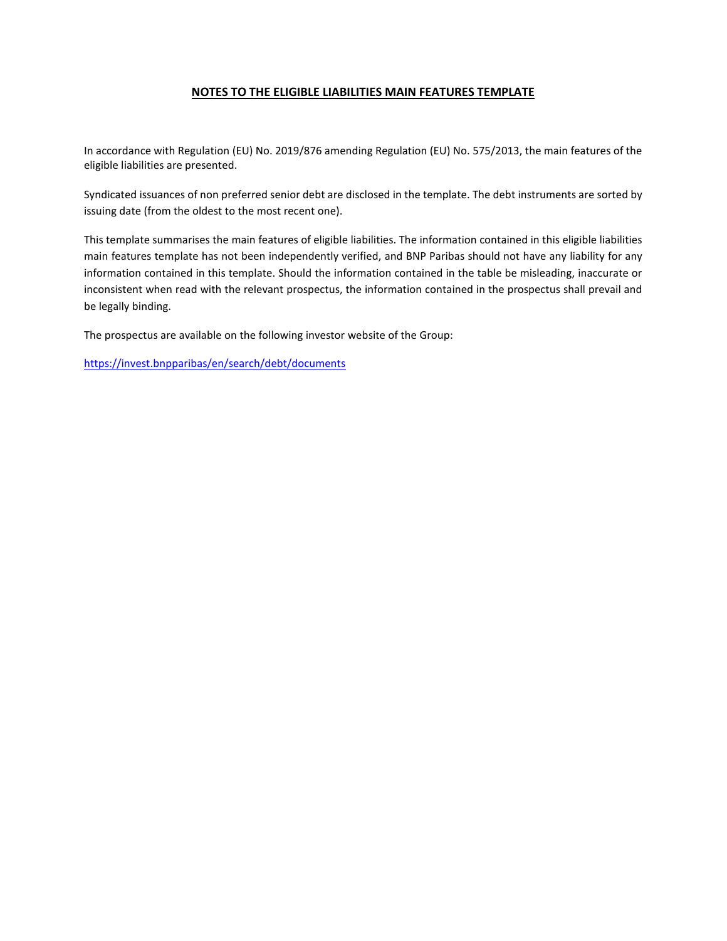## **NOTES TO THE ELIGIBLE LIABILITIES MAIN FEATURES TEMPLATE**

In accordance with Regulation (EU) No. 2019/876 amending Regulation (EU) No. 575/2013, the main features of the eligible liabilities are presented.

Syndicated issuances of non preferred senior debt are disclosed in the template. The debt instruments are sorted by issuing date (from the oldest to the most recent one).

This template summarises the main features of eligible liabilities. The information contained in this eligible liabilities main features template has not been independently verified, and BNP Paribas should not have any liability for any information contained in this template. Should the information contained in the table be misleading, inaccurate or inconsistent when read with the relevant prospectus, the information contained in the prospectus shall prevail and be legally binding.

The prospectus are available on the following investor website of the Group:

<https://invest.bnpparibas/en/search/debt/documents>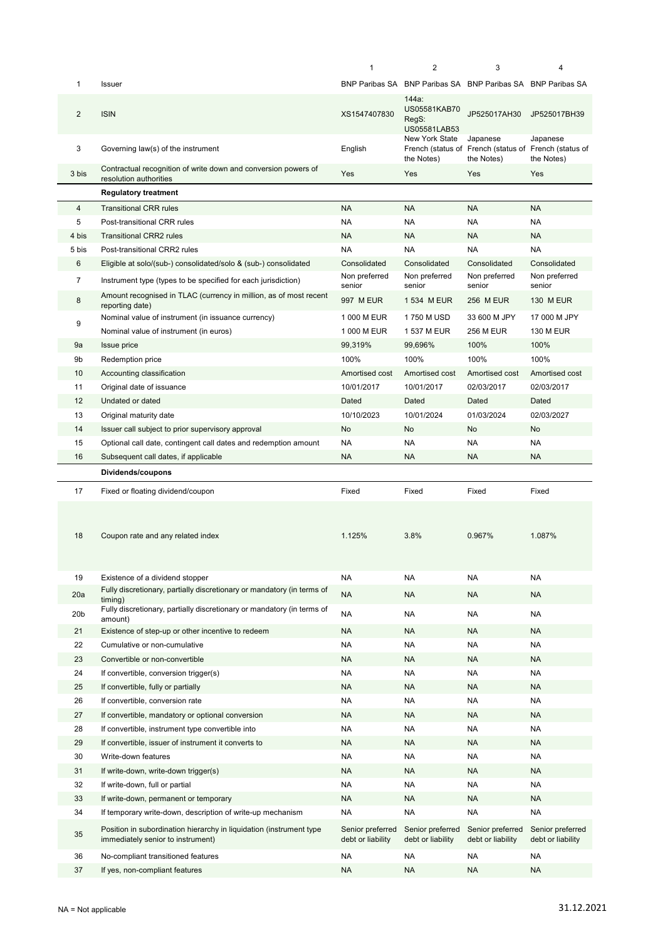|                 |                                                                                                          | 1                                     | $\overline{2}$                                              | 3                                                                               | 4                                     |
|-----------------|----------------------------------------------------------------------------------------------------------|---------------------------------------|-------------------------------------------------------------|---------------------------------------------------------------------------------|---------------------------------------|
| 1               | Issuer                                                                                                   |                                       | BNP Paribas SA BNP Paribas SA BNP Paribas SA BNP Paribas SA |                                                                                 |                                       |
| $\overline{2}$  | <b>ISIN</b>                                                                                              | XS1547407830                          | 144a:<br>US05581KAB70<br>RegS:<br>US05581LAB53              | JP525017AH30                                                                    | JP525017BH39                          |
| 3               | Governing law(s) of the instrument                                                                       | English                               | New York State<br>the Notes)                                | Japanese<br>French (status of French (status of French (status of<br>the Notes) | Japanese<br>the Notes)                |
| 3 bis           | Contractual recognition of write down and conversion powers of<br>resolution authorities                 | Yes                                   | Yes                                                         | Yes                                                                             | Yes                                   |
|                 | <b>Regulatory treatment</b>                                                                              |                                       |                                                             |                                                                                 |                                       |
| 4               | <b>Transitional CRR rules</b>                                                                            | <b>NA</b>                             | <b>NA</b>                                                   | <b>NA</b>                                                                       | <b>NA</b>                             |
| 5               | Post-transitional CRR rules                                                                              | <b>NA</b>                             | <b>NA</b>                                                   | <b>NA</b>                                                                       | <b>NA</b>                             |
| 4 bis           | <b>Transitional CRR2 rules</b>                                                                           | <b>NA</b>                             | <b>NA</b>                                                   | <b>NA</b>                                                                       | <b>NA</b>                             |
| 5 bis           | Post-transitional CRR2 rules                                                                             | NA                                    | <b>NA</b>                                                   | <b>NA</b>                                                                       | NA                                    |
| 6               | Eligible at solo/(sub-) consolidated/solo & (sub-) consolidated                                          | Consolidated                          | Consolidated                                                | Consolidated                                                                    | Consolidated                          |
| $\overline{7}$  | Instrument type (types to be specified for each jurisdiction)                                            | Non preferred<br>senior               | Non preferred<br>senior                                     | Non preferred<br>senior                                                         | Non preferred<br>senior               |
| 8               | Amount recognised in TLAC (currency in million, as of most recent<br>reporting date)                     | 997 M EUR                             | 1 534 M EUR                                                 | 256 M EUR                                                                       | <b>130 M EUR</b>                      |
|                 | Nominal value of instrument (in issuance currency)                                                       | 1 000 M EUR                           | 1750 M USD                                                  | 33 600 M JPY                                                                    | 17 000 M JPY                          |
| 9               | Nominal value of instrument (in euros)                                                                   | 1 000 M EUR                           | 1 537 M EUR                                                 | <b>256 M EUR</b>                                                                | <b>130 M EUR</b>                      |
| 9a              | Issue price                                                                                              | 99,319%                               | 99,696%                                                     | 100%                                                                            | 100%                                  |
| 9b              | Redemption price                                                                                         | 100%                                  | 100%                                                        | 100%                                                                            | 100%                                  |
| 10              | Accounting classification                                                                                | Amortised cost                        | Amortised cost                                              | Amortised cost                                                                  | Amortised cost                        |
| 11              | Original date of issuance                                                                                | 10/01/2017                            | 10/01/2017                                                  | 02/03/2017                                                                      | 02/03/2017                            |
| 12              | Undated or dated                                                                                         | Dated                                 | Dated                                                       | Dated                                                                           | Dated                                 |
| 13              | Original maturity date                                                                                   | 10/10/2023                            | 10/01/2024                                                  | 01/03/2024                                                                      | 02/03/2027                            |
| 14              | Issuer call subject to prior supervisory approval                                                        | No                                    | No                                                          | No                                                                              | No                                    |
| 15              | Optional call date, contingent call dates and redemption amount                                          | <b>NA</b>                             | <b>NA</b>                                                   | <b>NA</b>                                                                       | <b>NA</b>                             |
| 16              | Subsequent call dates, if applicable                                                                     | <b>NA</b>                             | <b>NA</b>                                                   | <b>NA</b>                                                                       | <b>NA</b>                             |
|                 | Dividends/coupons                                                                                        |                                       |                                                             |                                                                                 |                                       |
| 17              | Fixed or floating dividend/coupon                                                                        | Fixed                                 | Fixed                                                       | Fixed                                                                           | Fixed                                 |
|                 |                                                                                                          |                                       |                                                             |                                                                                 |                                       |
| 18              | Coupon rate and any related index                                                                        | 1.125%                                | 3.8%                                                        | 0.967%                                                                          | 1.087%                                |
| 19              | Existence of a dividend stopper                                                                          | <b>NA</b>                             | <b>NA</b>                                                   | <b>NA</b>                                                                       | <b>NA</b>                             |
| 20a             | Fully discretionary, partially discretionary or mandatory (in terms of                                   | <b>NA</b>                             | <b>NA</b>                                                   | <b>NA</b>                                                                       | NA                                    |
| 20 <sub>b</sub> | timing)<br>Fully discretionary, partially discretionary or mandatory (in terms of                        | <b>NA</b>                             | <b>NA</b>                                                   | <b>NA</b>                                                                       | <b>NA</b>                             |
|                 | amount)                                                                                                  |                                       |                                                             |                                                                                 |                                       |
| 21              | Existence of step-up or other incentive to redeem                                                        | <b>NA</b>                             | <b>NA</b>                                                   | <b>NA</b>                                                                       | NA                                    |
| 22              | Cumulative or non-cumulative                                                                             | NA                                    | NA                                                          | <b>NA</b>                                                                       | NA                                    |
| 23              | Convertible or non-convertible                                                                           | <b>NA</b>                             | <b>NA</b>                                                   | <b>NA</b>                                                                       | NA                                    |
| 24              | If convertible, conversion trigger(s)                                                                    | NA                                    | <b>NA</b>                                                   | <b>NA</b>                                                                       | NA                                    |
| 25<br>26        | If convertible, fully or partially                                                                       | <b>NA</b><br>NA                       | <b>NA</b><br><b>NA</b>                                      | <b>NA</b><br><b>NA</b>                                                          | NA.<br>NA                             |
| 27              | If convertible, conversion rate                                                                          | <b>NA</b>                             |                                                             | <b>NA</b>                                                                       | <b>NA</b>                             |
| 28              | If convertible, mandatory or optional conversion<br>If convertible, instrument type convertible into     | NA                                    | <b>NA</b><br>NA                                             | <b>NA</b>                                                                       | NA                                    |
| 29              | If convertible, issuer of instrument it converts to                                                      | <b>NA</b>                             | <b>NA</b>                                                   | <b>NA</b>                                                                       | <b>NA</b>                             |
| 30              | Write-down features                                                                                      | NA                                    | <b>NA</b>                                                   | <b>NA</b>                                                                       | <b>NA</b>                             |
| 31              | If write-down, write-down trigger(s)                                                                     | <b>NA</b>                             | <b>NA</b>                                                   | <b>NA</b>                                                                       | <b>NA</b>                             |
| 32              | If write-down, full or partial                                                                           | <b>NA</b>                             | <b>NA</b>                                                   | <b>NA</b>                                                                       | <b>NA</b>                             |
| 33              | If write-down, permanent or temporary                                                                    | <b>NA</b>                             | <b>NA</b>                                                   | <b>NA</b>                                                                       | <b>NA</b>                             |
| 34              | If temporary write-down, description of write-up mechanism                                               | <b>NA</b>                             | <b>NA</b>                                                   | <b>NA</b>                                                                       | <b>NA</b>                             |
| 35              | Position in subordination hierarchy in liquidation (instrument type<br>immediately senior to instrument) | Senior preferred<br>debt or liability | Senior preferred<br>debt or liability                       | Senior preferred<br>debt or liability                                           | Senior preferred<br>debt or liability |
| 36              | No-compliant transitioned features                                                                       | NA                                    | NA                                                          | <b>NA</b>                                                                       | NA                                    |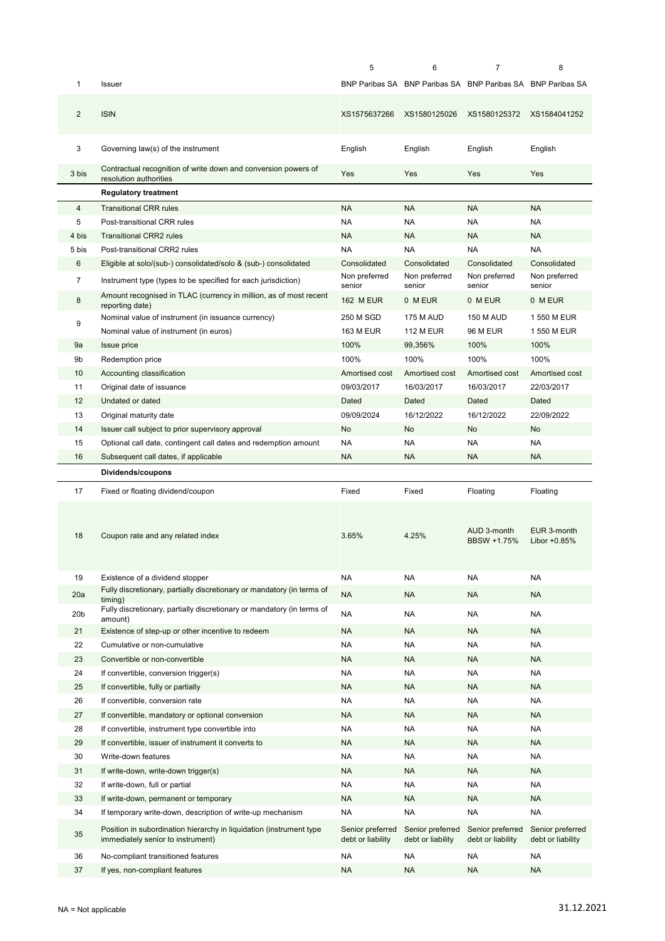|                 |                                                                                                          | 5                                     | 6                                     | $\overline{7}$                                              | 8                                     |
|-----------------|----------------------------------------------------------------------------------------------------------|---------------------------------------|---------------------------------------|-------------------------------------------------------------|---------------------------------------|
| 1               | <b>Issuer</b>                                                                                            |                                       |                                       | BNP Paribas SA BNP Paribas SA BNP Paribas SA BNP Paribas SA |                                       |
| $\overline{2}$  | <b>ISIN</b>                                                                                              | XS1575637266                          | XS1580125026                          | XS1580125372                                                | XS1584041252                          |
| 3               | Governing law(s) of the instrument                                                                       | English                               | English                               | English                                                     | English                               |
| 3 bis           | Contractual recognition of write down and conversion powers of<br>resolution authorities                 | Yes                                   | Yes                                   | Yes                                                         | Yes                                   |
|                 | <b>Regulatory treatment</b>                                                                              |                                       |                                       |                                                             |                                       |
| 4               | <b>Transitional CRR rules</b>                                                                            | <b>NA</b>                             | <b>NA</b>                             | <b>NA</b>                                                   | <b>NA</b>                             |
| 5               | Post-transitional CRR rules                                                                              | NA                                    | NA                                    | <b>NA</b>                                                   | NA                                    |
| 4 bis           | <b>Transitional CRR2 rules</b>                                                                           | <b>NA</b>                             | <b>NA</b>                             | <b>NA</b>                                                   | <b>NA</b>                             |
| 5 bis           | Post-transitional CRR2 rules                                                                             | <b>NA</b>                             | <b>NA</b>                             | <b>NA</b>                                                   | <b>NA</b>                             |
| 6               | Eligible at solo/(sub-) consolidated/solo & (sub-) consolidated                                          | Consolidated                          | Consolidated                          | Consolidated                                                | Consolidated                          |
| 7               | Instrument type (types to be specified for each jurisdiction)                                            | Non preferred                         | Non preferred                         | Non preferred                                               | Non preferred                         |
| 8               | Amount recognised in TLAC (currency in million, as of most recent                                        | senior<br><b>162 M EUR</b>            | senior<br>0 M EUR                     | senior<br>0 M EUR                                           | senior<br>0 M EUR                     |
|                 | reporting date)<br>Nominal value of instrument (in issuance currency)                                    | 250 M SGD                             | 175 M AUD                             | <b>150 M AUD</b>                                            | 1 550 M EUR                           |
| 9               | Nominal value of instrument (in euros)                                                                   | <b>163 M EUR</b>                      | <b>112 M EUR</b>                      | <b>96 M EUR</b>                                             | 1 550 M EUR                           |
| 9a              | Issue price                                                                                              | 100%                                  | 99,356%                               | 100%                                                        | 100%                                  |
| 9b              | Redemption price                                                                                         | 100%                                  | 100%                                  | 100%                                                        | 100%                                  |
| 10              | Accounting classification                                                                                | Amortised cost                        | Amortised cost                        | Amortised cost                                              | Amortised cost                        |
| 11              | Original date of issuance                                                                                | 09/03/2017                            | 16/03/2017                            | 16/03/2017                                                  | 22/03/2017                            |
| 12              | Undated or dated                                                                                         | Dated                                 | Dated                                 | Dated                                                       | Dated                                 |
| 13              | Original maturity date                                                                                   | 09/09/2024                            | 16/12/2022                            | 16/12/2022                                                  | 22/09/2022                            |
| 14              | Issuer call subject to prior supervisory approval                                                        | No                                    | <b>No</b>                             | No                                                          | No.                                   |
| 15              | Optional call date, contingent call dates and redemption amount                                          | <b>NA</b>                             | <b>NA</b>                             | <b>NA</b>                                                   | NA                                    |
| 16              | Subsequent call dates, if applicable                                                                     | <b>NA</b>                             | <b>NA</b>                             | <b>NA</b>                                                   | <b>NA</b>                             |
|                 |                                                                                                          |                                       |                                       |                                                             |                                       |
|                 | Dividends/coupons                                                                                        |                                       |                                       |                                                             |                                       |
| 17              | Fixed or floating dividend/coupon                                                                        | Fixed                                 | Fixed                                 | Floating                                                    | Floating                              |
| 18              | Coupon rate and any related index                                                                        | 3.65%                                 | 4.25%                                 | AUD 3-month<br>BBSW +1.75%                                  | EUR 3-month<br>Libor +0.85%           |
| 19              | Existence of a dividend stopper                                                                          | NA                                    | NA                                    | <b>NA</b>                                                   | NA                                    |
| 20a             | Fully discretionary, partially discretionary or mandatory (in terms of                                   | <b>NA</b>                             | <b>NA</b>                             | <b>NA</b>                                                   | <b>NA</b>                             |
| 20 <sub>b</sub> | timing)<br>Fully discretionary, partially discretionary or mandatory (in terms of                        | <b>NA</b>                             | NA                                    | <b>NA</b>                                                   | NA                                    |
|                 | amount)                                                                                                  |                                       |                                       |                                                             |                                       |
| 21              | Existence of step-up or other incentive to redeem                                                        | <b>NA</b>                             | <b>NA</b>                             | <b>NA</b>                                                   | NA                                    |
| 22<br>23        | Cumulative or non-cumulative<br>Convertible or non-convertible                                           | <b>NA</b><br><b>NA</b>                | NA<br><b>NA</b>                       | <b>NA</b><br><b>NA</b>                                      | NA<br>NA                              |
| 24              | If convertible, conversion trigger(s)                                                                    | NA                                    | NA                                    | <b>NA</b>                                                   | NA                                    |
| 25              | If convertible, fully or partially                                                                       | NA                                    | <b>NA</b>                             | <b>NA</b>                                                   | <b>NA</b>                             |
| 26              | If convertible, conversion rate                                                                          | NA                                    | NA                                    | <b>NA</b>                                                   | NA                                    |
| 27              | If convertible, mandatory or optional conversion                                                         | <b>NA</b>                             | <b>NA</b>                             | <b>NA</b>                                                   | NA                                    |
| 28              | If convertible, instrument type convertible into                                                         | <b>NA</b>                             | NA                                    | <b>NA</b>                                                   | NA                                    |
| 29              | If convertible, issuer of instrument it converts to                                                      | NA                                    | <b>NA</b>                             | <b>NA</b>                                                   | NA                                    |
| 30              | Write-down features                                                                                      | <b>NA</b>                             | NA                                    | <b>NA</b>                                                   | NA                                    |
| 31              | If write-down, write-down trigger(s)                                                                     | NA                                    | NA                                    | <b>NA</b>                                                   | NA                                    |
| 32              | If write-down, full or partial                                                                           | NA                                    | NA                                    | <b>NA</b>                                                   | NA                                    |
| 33              | If write-down, permanent or temporary                                                                    | NA                                    | <b>NA</b>                             | <b>NA</b>                                                   | NA                                    |
| 34              | If temporary write-down, description of write-up mechanism                                               | <b>NA</b>                             | NA                                    | <b>NA</b>                                                   | NA                                    |
| 35              | Position in subordination hierarchy in liquidation (instrument type<br>immediately senior to instrument) | Senior preferred<br>debt or liability | Senior preferred<br>debt or liability | Senior preferred<br>debt or liability                       | Senior preferred<br>debt or liability |
| 36              | No-compliant transitioned features                                                                       | <b>NA</b>                             | NA                                    | NA                                                          | NA                                    |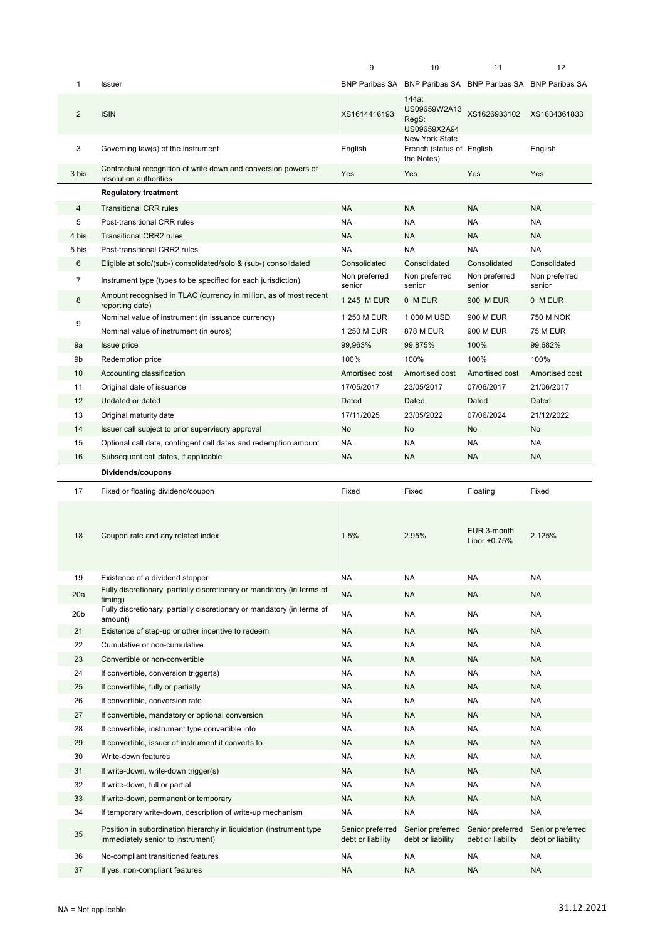|                |                                                                                                          | 9                                     | 10                                                          | 11                                    | 12                                    |
|----------------|----------------------------------------------------------------------------------------------------------|---------------------------------------|-------------------------------------------------------------|---------------------------------------|---------------------------------------|
| 1              | <b>Issuer</b>                                                                                            |                                       | BNP Paribas SA BNP Paribas SA BNP Paribas SA BNP Paribas SA |                                       |                                       |
| $\overline{2}$ | <b>ISIN</b>                                                                                              | XS1614416193                          | 144a:<br>US09659W2A13<br>RegS:<br>US09659X2A94              | XS1626933102 XS1634361833             |                                       |
| 3              | Governing law(s) of the instrument                                                                       | English                               | New York State<br>French (status of English<br>the Notes)   |                                       | English                               |
| 3 bis          | Contractual recognition of write down and conversion powers of<br>resolution authorities                 | Yes                                   | Yes                                                         | Yes                                   | Yes                                   |
|                | <b>Regulatory treatment</b>                                                                              |                                       |                                                             |                                       |                                       |
| 4              | <b>Transitional CRR rules</b>                                                                            | <b>NA</b>                             | <b>NA</b>                                                   | <b>NA</b>                             | <b>NA</b>                             |
| 5              | Post-transitional CRR rules                                                                              | <b>NA</b>                             | <b>NA</b>                                                   | <b>NA</b>                             | <b>NA</b>                             |
| 4 bis          | <b>Transitional CRR2 rules</b>                                                                           | <b>NA</b>                             | NA                                                          | <b>NA</b>                             | <b>NA</b>                             |
| 5 bis          | Post-transitional CRR2 rules                                                                             | <b>NA</b>                             | NA                                                          | <b>NA</b>                             | <b>NA</b>                             |
| 6              | Eligible at solo/(sub-) consolidated/solo & (sub-) consolidated                                          | Consolidated                          | Consolidated                                                | Consolidated                          | Consolidated                          |
| $\overline{7}$ | Instrument type (types to be specified for each jurisdiction)                                            | Non preferred                         | Non preferred                                               | Non preferred                         | Non preferred                         |
| 8              | Amount recognised in TLAC (currency in million, as of most recent                                        | senior<br>1 245 M EUR                 | senior<br>0 M EUR                                           | senior<br>900 M EUR                   | senior<br>0 M EUR                     |
|                | reporting date)<br>Nominal value of instrument (in issuance currency)                                    | 1 250 M EUR                           | 1 000 M USD                                                 | 900 M EUR                             | 750 M NOK                             |
| 9              |                                                                                                          |                                       | <b>878 M EUR</b>                                            |                                       |                                       |
|                | Nominal value of instrument (in euros)                                                                   | 1 250 M EUR                           |                                                             | 900 M EUR                             | <b>75 M EUR</b>                       |
| 9a             | <b>Issue price</b>                                                                                       | 99,963%                               | 99,875%                                                     | 100%                                  | 99,682%                               |
| 9b             | Redemption price                                                                                         | 100%                                  | 100%                                                        | 100%                                  | 100%                                  |
| 10             | Accounting classification                                                                                | Amortised cost                        | Amortised cost                                              | Amortised cost                        | Amortised cost                        |
| 11             | Original date of issuance                                                                                | 17/05/2017                            | 23/05/2017                                                  | 07/06/2017                            | 21/06/2017                            |
| 12             | Undated or dated                                                                                         | Dated                                 | Dated                                                       | Dated                                 | Dated                                 |
| 13             | Original maturity date                                                                                   | 17/11/2025                            | 23/05/2022                                                  | 07/06/2024                            | 21/12/2022                            |
| 14             | Issuer call subject to prior supervisory approval                                                        | No                                    | No                                                          | No                                    | No                                    |
| 15             | Optional call date, contingent call dates and redemption amount                                          | <b>NA</b>                             | <b>NA</b>                                                   | <b>NA</b>                             | <b>NA</b>                             |
| 16             | Subsequent call dates, if applicable                                                                     | <b>NA</b>                             | <b>NA</b>                                                   | <b>NA</b>                             | <b>NA</b>                             |
|                |                                                                                                          |                                       |                                                             |                                       |                                       |
|                | Dividends/coupons                                                                                        |                                       |                                                             |                                       |                                       |
| 17             | Fixed or floating dividend/coupon                                                                        | Fixed                                 | Fixed                                                       | Floating                              | Fixed                                 |
| 18             | Coupon rate and any related index                                                                        | 1.5%                                  | 2.95%                                                       | EUR 3-month<br>Libor +0.75%           | 2.125%                                |
| 19             | Existence of a dividend stopper                                                                          | <b>NA</b>                             | NA                                                          | <b>NA</b>                             | <b>NA</b>                             |
| 20a            | Fully discretionary, partially discretionary or mandatory (in terms of                                   | <b>NA</b>                             | NA                                                          | <b>NA</b>                             | <b>NA</b>                             |
|                | timing)<br>Fully discretionary, partially discretionary or mandatory (in terms of                        |                                       |                                                             |                                       |                                       |
| 20b            | amount)                                                                                                  | <b>NA</b>                             | NA                                                          | NA                                    | <b>NA</b>                             |
| 21             | Existence of step-up or other incentive to redeem                                                        | <b>NA</b>                             | NA                                                          | <b>NA</b>                             | <b>NA</b>                             |
| 22             | Cumulative or non-cumulative                                                                             | <b>NA</b>                             | NA                                                          | <b>NA</b>                             | <b>NA</b>                             |
| 23             | Convertible or non-convertible                                                                           | <b>NA</b>                             | NA                                                          | <b>NA</b>                             | <b>NA</b>                             |
| 24             | If convertible, conversion trigger(s)                                                                    | <b>NA</b>                             | NA                                                          | NA                                    | <b>NA</b>                             |
| 25             | If convertible, fully or partially                                                                       | <b>NA</b>                             | NA                                                          | <b>NA</b>                             | <b>NA</b>                             |
| 26             | If convertible, conversion rate                                                                          | <b>NA</b>                             | NA                                                          | <b>NA</b>                             | <b>NA</b>                             |
| 27             | If convertible, mandatory or optional conversion                                                         | <b>NA</b>                             | NA                                                          | <b>NA</b>                             | <b>NA</b>                             |
| 28             | If convertible, instrument type convertible into                                                         | <b>NA</b>                             | NA                                                          | NA                                    | NA                                    |
| 29             | If convertible, issuer of instrument it converts to                                                      | <b>NA</b>                             | <b>NA</b>                                                   | <b>NA</b>                             | <b>NA</b>                             |
| 30             | Write-down features                                                                                      | <b>NA</b>                             | NA                                                          | <b>NA</b>                             | <b>NA</b>                             |
| 31             | If write-down, write-down trigger(s)                                                                     | <b>NA</b>                             | NA                                                          | <b>NA</b>                             | <b>NA</b>                             |
| 32             | If write-down, full or partial                                                                           | <b>NA</b>                             | NA                                                          | <b>NA</b>                             | <b>NA</b>                             |
| 33             | If write-down, permanent or temporary                                                                    | <b>NA</b>                             | NA                                                          | <b>NA</b>                             | <b>NA</b>                             |
| 34             | If temporary write-down, description of write-up mechanism                                               | <b>NA</b>                             | NA                                                          | <b>NA</b>                             | <b>NA</b>                             |
| 35             | Position in subordination hierarchy in liquidation (instrument type<br>immediately senior to instrument) | Senior preferred<br>debt or liability | Senior preferred<br>debt or liability                       | Senior preferred<br>debt or liability | Senior preferred<br>debt or liability |
| 36             | No-compliant transitioned features                                                                       | <b>NA</b>                             | NA                                                          | <b>NA</b>                             | <b>NA</b>                             |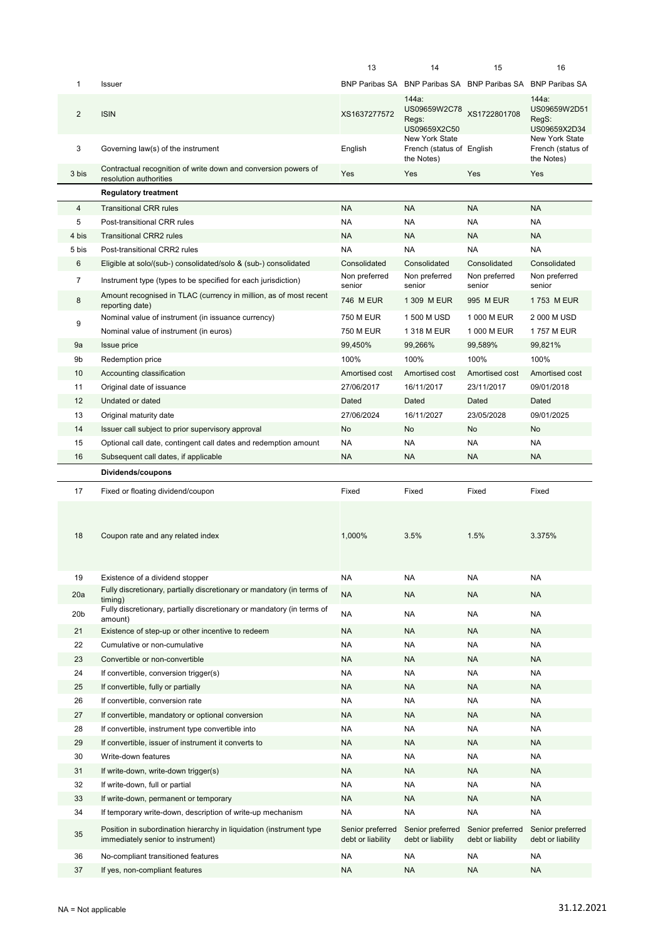|                 |                                                                                                          | 13                                    | 14                                                          | 15                                    | 16                                                |
|-----------------|----------------------------------------------------------------------------------------------------------|---------------------------------------|-------------------------------------------------------------|---------------------------------------|---------------------------------------------------|
| 1               | Issuer                                                                                                   |                                       | BNP Paribas SA BNP Paribas SA BNP Paribas SA BNP Paribas SA |                                       |                                                   |
| $\overline{2}$  | <b>ISIN</b>                                                                                              | XS1637277572                          | 144a:<br>US09659W2C78<br>Regs:<br>US09659X2C50              | XS1722801708                          | 144a:<br>US09659W2D51<br>RegS:<br>US09659X2D34    |
| 3               | Governing law(s) of the instrument                                                                       | English                               | New York State<br>French (status of English<br>the Notes)   |                                       | New York State<br>French (status of<br>the Notes) |
| 3 bis           | Contractual recognition of write down and conversion powers of<br>resolution authorities                 | Yes                                   | Yes                                                         | Yes                                   | Yes                                               |
|                 | <b>Regulatory treatment</b>                                                                              |                                       |                                                             |                                       |                                                   |
| 4               | <b>Transitional CRR rules</b>                                                                            | <b>NA</b>                             | <b>NA</b>                                                   | <b>NA</b>                             | <b>NA</b>                                         |
| 5               | Post-transitional CRR rules                                                                              | <b>NA</b>                             | <b>NA</b>                                                   | <b>NA</b>                             | <b>NA</b>                                         |
| 4 bis           | <b>Transitional CRR2 rules</b>                                                                           | <b>NA</b>                             | <b>NA</b>                                                   | <b>NA</b>                             | <b>NA</b>                                         |
| 5 bis           | Post-transitional CRR2 rules                                                                             | <b>NA</b>                             | <b>NA</b>                                                   | <b>NA</b>                             | <b>NA</b>                                         |
| 6               | Eligible at solo/(sub-) consolidated/solo & (sub-) consolidated                                          | Consolidated                          | Consolidated                                                | Consolidated                          | Consolidated                                      |
| 7               | Instrument type (types to be specified for each jurisdiction)                                            | Non preferred<br>senior               | Non preferred<br>senior                                     | Non preferred<br>senior               | Non preferred<br>senior                           |
| 8               | Amount recognised in TLAC (currency in million, as of most recent<br>reporting date)                     | 746 M EUR                             | 1 309 M EUR                                                 | 995 M EUR                             | 1753 M EUR                                        |
| 9               | Nominal value of instrument (in issuance currency)                                                       | 750 M EUR                             | 1 500 M USD                                                 | 1 000 M EUR                           | 2 000 M USD                                       |
|                 | Nominal value of instrument (in euros)                                                                   | <b>750 M EUR</b>                      | 1 318 M EUR                                                 | 1 000 M EUR                           | 1757 M EUR                                        |
| 9a              | Issue price                                                                                              | 99,450%                               | 99,266%                                                     | 99,589%                               | 99,821%                                           |
| 9b              | Redemption price                                                                                         | 100%                                  | 100%                                                        | 100%                                  | 100%                                              |
| 10              | Accounting classification                                                                                | Amortised cost                        | Amortised cost                                              | Amortised cost                        | Amortised cost                                    |
| 11              | Original date of issuance                                                                                | 27/06/2017                            | 16/11/2017                                                  | 23/11/2017                            | 09/01/2018                                        |
| 12              | Undated or dated                                                                                         | Dated                                 | Dated                                                       | Dated                                 | Dated                                             |
| 13              | Original maturity date                                                                                   | 27/06/2024                            | 16/11/2027                                                  | 23/05/2028                            | 09/01/2025                                        |
| 14              | Issuer call subject to prior supervisory approval                                                        | <b>No</b>                             | No                                                          | <b>No</b>                             | No                                                |
| 15              | Optional call date, contingent call dates and redemption amount                                          | <b>NA</b>                             | <b>NA</b>                                                   | <b>NA</b>                             | <b>NA</b>                                         |
| 16              | Subsequent call dates, if applicable                                                                     | <b>NA</b>                             | <b>NA</b>                                                   | <b>NA</b>                             | <b>NA</b>                                         |
|                 | Dividends/coupons                                                                                        |                                       |                                                             |                                       |                                                   |
| 17              | Fixed or floating dividend/coupon                                                                        | Fixed                                 | Fixed                                                       | Fixed                                 | Fixed                                             |
| 18              | Coupon rate and any related index                                                                        | 1,000%                                | 3.5%                                                        | 1.5%                                  | 3.375%                                            |
| 19              | Existence of a dividend stopper                                                                          | <b>NA</b>                             | NA                                                          | <b>NA</b>                             | <b>NA</b>                                         |
| 20a             | Fully discretionary, partially discretionary or mandatory (in terms of<br>timing)                        | <b>NA</b>                             | <b>NA</b>                                                   | <b>NA</b>                             | <b>NA</b>                                         |
| 20 <sub>b</sub> | Fully discretionary, partially discretionary or mandatory (in terms of                                   | <b>NA</b>                             | NA                                                          | NA                                    | NA                                                |
| 21              | amount)<br>Existence of step-up or other incentive to redeem                                             | <b>NA</b>                             | <b>NA</b>                                                   | <b>NA</b>                             | <b>NA</b>                                         |
| 22              | Cumulative or non-cumulative                                                                             | <b>NA</b>                             | <b>NA</b>                                                   | <b>NA</b>                             | <b>NA</b>                                         |
| 23              | Convertible or non-convertible                                                                           | <b>NA</b>                             | NA                                                          | <b>NA</b>                             | <b>NA</b>                                         |
| 24              | If convertible, conversion trigger(s)                                                                    | <b>NA</b>                             | NA                                                          | <b>NA</b>                             | NA                                                |
| 25              | If convertible, fully or partially                                                                       | <b>NA</b>                             | <b>NA</b>                                                   | <b>NA</b>                             | <b>NA</b>                                         |
| 26              | If convertible, conversion rate                                                                          | <b>NA</b>                             | <b>NA</b>                                                   | <b>NA</b>                             | NA                                                |
| 27              | If convertible, mandatory or optional conversion                                                         | <b>NA</b>                             | <b>NA</b>                                                   | <b>NA</b>                             | <b>NA</b>                                         |
| 28              | If convertible, instrument type convertible into                                                         | <b>NA</b>                             | <b>NA</b>                                                   | <b>NA</b>                             | <b>NA</b>                                         |
| 29              | If convertible, issuer of instrument it converts to                                                      | <b>NA</b>                             | <b>NA</b>                                                   | <b>NA</b>                             | <b>NA</b>                                         |
| 30              | Write-down features                                                                                      | <b>NA</b>                             | <b>NA</b>                                                   | <b>NA</b>                             | <b>NA</b>                                         |
| 31              | If write-down, write-down trigger(s)                                                                     | <b>NA</b>                             | <b>NA</b>                                                   | <b>NA</b>                             | <b>NA</b>                                         |
| 32              | If write-down, full or partial                                                                           | <b>NA</b>                             | <b>NA</b>                                                   | <b>NA</b>                             | <b>NA</b>                                         |
| 33              | If write-down, permanent or temporary                                                                    | <b>NA</b>                             | <b>NA</b>                                                   | <b>NA</b>                             | <b>NA</b>                                         |
| 34              | If temporary write-down, description of write-up mechanism                                               | <b>NA</b>                             | NA                                                          | <b>NA</b>                             | <b>NA</b>                                         |
| 35              | Position in subordination hierarchy in liquidation (instrument type<br>immediately senior to instrument) | Senior preferred<br>debt or liability | Senior preferred<br>debt or liability                       | Senior preferred<br>debt or liability | Senior preferred<br>debt or liability             |
| 36              | No-compliant transitioned features                                                                       | <b>NA</b>                             | NA                                                          | <b>NA</b>                             | NA                                                |
| 37              | If yes, non-compliant features                                                                           | <b>NA</b>                             | <b>NA</b>                                                   | <b>NA</b>                             | <b>NA</b>                                         |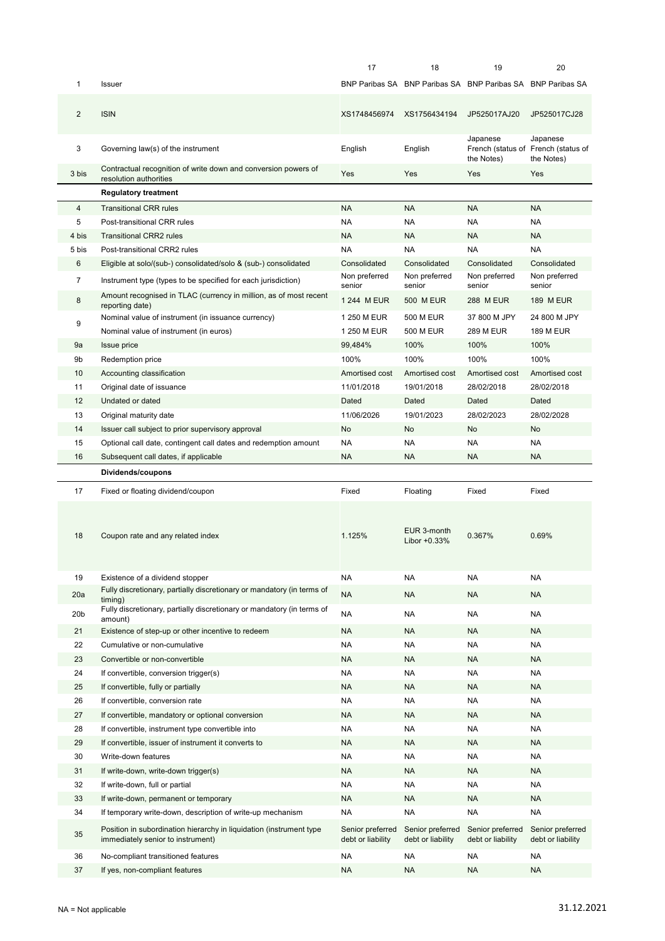|                 |                                                                                                          | 17                                    | 18                                    | 19                                                          | 20                                              |
|-----------------|----------------------------------------------------------------------------------------------------------|---------------------------------------|---------------------------------------|-------------------------------------------------------------|-------------------------------------------------|
| 1               | <b>Issuer</b>                                                                                            |                                       |                                       | BNP Paribas SA BNP Paribas SA BNP Paribas SA BNP Paribas SA |                                                 |
| $\overline{2}$  | <b>ISIN</b>                                                                                              | XS1748456974                          | XS1756434194                          | JP525017AJ20                                                | JP525017CJ28                                    |
| 3               | Governing law(s) of the instrument                                                                       | English                               | English                               | Japanese                                                    | Japanese<br>French (status of French (status of |
|                 | Contractual recognition of write down and conversion powers of                                           |                                       |                                       | the Notes)                                                  | the Notes)                                      |
| 3 bis           | resolution authorities                                                                                   | Yes                                   | Yes                                   | Yes                                                         | Yes                                             |
|                 | <b>Regulatory treatment</b>                                                                              |                                       |                                       |                                                             |                                                 |
| 4               | <b>Transitional CRR rules</b>                                                                            | <b>NA</b>                             | <b>NA</b>                             | <b>NA</b>                                                   | <b>NA</b>                                       |
| 5               | Post-transitional CRR rules                                                                              | NA.                                   | <b>NA</b>                             | NA                                                          | NA                                              |
| 4 bis           | <b>Transitional CRR2 rules</b>                                                                           | <b>NA</b>                             | <b>NA</b>                             | <b>NA</b>                                                   | <b>NA</b>                                       |
| 5 bis           | Post-transitional CRR2 rules                                                                             | <b>NA</b>                             | <b>NA</b>                             | <b>NA</b>                                                   | <b>NA</b>                                       |
| 6               | Eligible at solo/(sub-) consolidated/solo & (sub-) consolidated                                          | Consolidated                          | Consolidated                          | Consolidated                                                | Consolidated                                    |
| 7               | Instrument type (types to be specified for each jurisdiction)                                            | Non preferred<br>senior               | Non preferred<br>senior               | Non preferred<br>senior                                     | Non preferred<br>senior                         |
| 8               | Amount recognised in TLAC (currency in million, as of most recent<br>reporting date)                     | 1 244 M EUR                           | 500 M EUR                             | 288 M EUR                                                   | <b>189 M EUR</b>                                |
| 9               | Nominal value of instrument (in issuance currency)                                                       | 1 250 M EUR                           | <b>500 M EUR</b>                      | 37 800 M JPY                                                | 24 800 M JPY                                    |
|                 | Nominal value of instrument (in euros)                                                                   | 1 250 M EUR                           | <b>500 M EUR</b>                      | 289 M EUR                                                   | <b>189 M EUR</b>                                |
| 9a              | <b>Issue price</b>                                                                                       | 99,484%                               | 100%                                  | 100%                                                        | 100%                                            |
| 9b              | Redemption price                                                                                         | 100%                                  | 100%                                  | 100%                                                        | 100%                                            |
| 10              | Accounting classification                                                                                | Amortised cost                        | Amortised cost                        | Amortised cost                                              | Amortised cost                                  |
| 11              | Original date of issuance                                                                                | 11/01/2018                            | 19/01/2018                            | 28/02/2018                                                  | 28/02/2018                                      |
| 12              | Undated or dated                                                                                         | Dated                                 | Dated                                 | Dated                                                       | Dated                                           |
| 13              | Original maturity date                                                                                   | 11/06/2026                            | 19/01/2023                            | 28/02/2023                                                  | 28/02/2028                                      |
| 14              | Issuer call subject to prior supervisory approval                                                        | No                                    | <b>No</b>                             | No                                                          | No                                              |
| 15              | Optional call date, contingent call dates and redemption amount                                          | <b>NA</b>                             | <b>NA</b>                             | NA.                                                         | NA                                              |
| 16              | Subsequent call dates, if applicable                                                                     | <b>NA</b>                             | <b>NA</b>                             | <b>NA</b>                                                   | <b>NA</b>                                       |
|                 |                                                                                                          |                                       |                                       |                                                             |                                                 |
|                 | Dividends/coupons                                                                                        |                                       |                                       |                                                             |                                                 |
| 17              | Fixed or floating dividend/coupon                                                                        | Fixed                                 | Floating                              | Fixed                                                       | Fixed                                           |
| 18              | Coupon rate and any related index                                                                        | 1.125%                                | EUR 3-month<br>Libor +0.33%           | 0.367%                                                      | 0.69%                                           |
| 19              | Existence of a dividend stopper                                                                          | NA                                    | <b>NA</b>                             | NA                                                          | NA                                              |
| 20a             | Fully discretionary, partially discretionary or mandatory (in terms of                                   | <b>NA</b>                             | <b>NA</b>                             | <b>NA</b>                                                   | <b>NA</b>                                       |
| 20 <sub>b</sub> | timing)<br>Fully discretionary, partially discretionary or mandatory (in terms of<br>amount)             | <b>NA</b>                             | <b>NA</b>                             | NA                                                          | NA                                              |
| 21              | Existence of step-up or other incentive to redeem                                                        | <b>NA</b>                             | <b>NA</b>                             | <b>NA</b>                                                   | <b>NA</b>                                       |
| 22              | Cumulative or non-cumulative                                                                             | <b>NA</b>                             | <b>NA</b>                             | NA                                                          | <b>NA</b>                                       |
| 23              | Convertible or non-convertible                                                                           | <b>NA</b>                             | <b>NA</b>                             | <b>NA</b>                                                   | <b>NA</b>                                       |
| 24              | If convertible, conversion trigger(s)                                                                    | <b>NA</b>                             | <b>NA</b>                             | NA                                                          | <b>NA</b>                                       |
| 25              | If convertible, fully or partially                                                                       | <b>NA</b>                             | <b>NA</b>                             | <b>NA</b>                                                   | <b>NA</b>                                       |
| 26              | If convertible, conversion rate                                                                          | <b>NA</b>                             | <b>NA</b>                             | <b>NA</b>                                                   | <b>NA</b>                                       |
| 27              | If convertible, mandatory or optional conversion                                                         | NA                                    | <b>NA</b>                             | <b>NA</b>                                                   | <b>NA</b>                                       |
| 28              | If convertible, instrument type convertible into                                                         | NA                                    | <b>NA</b>                             | <b>NA</b>                                                   | <b>NA</b>                                       |
| 29              | If convertible, issuer of instrument it converts to                                                      | <b>NA</b>                             | <b>NA</b>                             | <b>NA</b>                                                   | <b>NA</b>                                       |
| 30              | Write-down features                                                                                      | NA                                    | <b>NA</b>                             | NA                                                          | <b>NA</b>                                       |
| 31              | If write-down, write-down trigger(s)                                                                     | <b>NA</b>                             | <b>NA</b>                             | <b>NA</b>                                                   | <b>NA</b>                                       |
| 32              | If write-down, full or partial                                                                           | NA                                    | <b>NA</b>                             | NA                                                          | NA                                              |
| 33              | If write-down, permanent or temporary                                                                    | <b>NA</b>                             | <b>NA</b>                             | <b>NA</b>                                                   | <b>NA</b>                                       |
| 34              | If temporary write-down, description of write-up mechanism                                               | NA                                    | <b>NA</b>                             | <b>NA</b>                                                   | <b>NA</b>                                       |
| 35              | Position in subordination hierarchy in liquidation (instrument type<br>immediately senior to instrument) | Senior preferred<br>debt or liability | Senior preferred<br>debt or liability | Senior preferred<br>debt or liability                       | Senior preferred<br>debt or liability           |
| 36              | No-compliant transitioned features                                                                       | <b>NA</b>                             | <b>NA</b>                             | NA                                                          | NA                                              |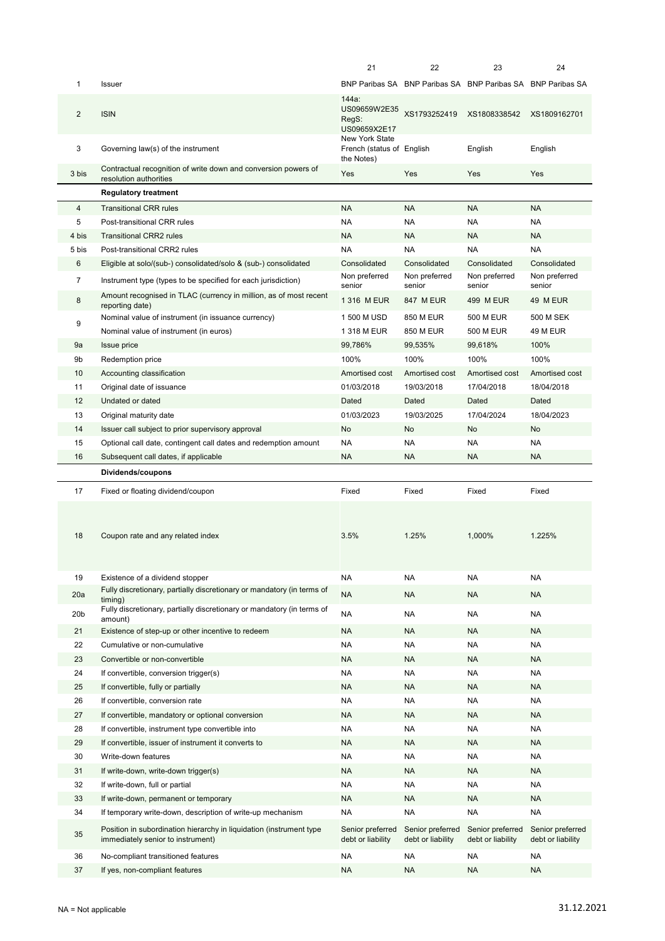|                 |                                                                                                          | 21                                                        | 22                                    | 23                                                          | 24                                    |
|-----------------|----------------------------------------------------------------------------------------------------------|-----------------------------------------------------------|---------------------------------------|-------------------------------------------------------------|---------------------------------------|
| $\mathbf{1}$    | Issuer                                                                                                   |                                                           |                                       | BNP Paribas SA BNP Paribas SA BNP Paribas SA BNP Paribas SA |                                       |
| $\overline{2}$  | <b>ISIN</b>                                                                                              | 144a:<br>US09659W2E35<br>RegS:<br>US09659X2E17            | XS1793252419                          | XS1808338542                                                | XS1809162701                          |
| 3               | Governing law(s) of the instrument                                                                       | New York State<br>French (status of English<br>the Notes) |                                       | English                                                     | English                               |
| 3 bis           | Contractual recognition of write down and conversion powers of<br>resolution authorities                 | Yes                                                       | Yes                                   | Yes                                                         | Yes                                   |
|                 | <b>Regulatory treatment</b>                                                                              |                                                           |                                       |                                                             |                                       |
| 4               | <b>Transitional CRR rules</b>                                                                            | <b>NA</b>                                                 | <b>NA</b>                             | <b>NA</b>                                                   | <b>NA</b>                             |
| 5               | Post-transitional CRR rules                                                                              | <b>NA</b>                                                 | <b>NA</b>                             | <b>NA</b>                                                   | <b>NA</b>                             |
| 4 bis           | <b>Transitional CRR2 rules</b>                                                                           | <b>NA</b>                                                 | <b>NA</b>                             | <b>NA</b>                                                   | <b>NA</b>                             |
| 5 bis           | Post-transitional CRR2 rules                                                                             | <b>NA</b>                                                 | <b>NA</b>                             | <b>NA</b>                                                   | <b>NA</b>                             |
| 6               | Eligible at solo/(sub-) consolidated/solo & (sub-) consolidated                                          | Consolidated                                              | Consolidated                          | Consolidated                                                | Consolidated                          |
| $\overline{7}$  | Instrument type (types to be specified for each jurisdiction)                                            | Non preferred<br>senior                                   | Non preferred<br>senior               | Non preferred<br>senior                                     | Non preferred<br>senior               |
| 8               | Amount recognised in TLAC (currency in million, as of most recent<br>reporting date)                     | 1 316 M EUR                                               | <b>847 M EUR</b>                      | 499 M EUR                                                   | 49 M EUR                              |
|                 | Nominal value of instrument (in issuance currency)                                                       | 1 500 M USD                                               | 850 M EUR                             | 500 M EUR                                                   | <b>500 M SEK</b>                      |
| 9               | Nominal value of instrument (in euros)                                                                   | 1 318 M EUR                                               | 850 M EUR                             | 500 M EUR                                                   | 49 M EUR                              |
| 9a              | <b>Issue price</b>                                                                                       | 99,786%                                                   | 99,535%                               | 99,618%                                                     | 100%                                  |
| 9b              | Redemption price                                                                                         | 100%                                                      | 100%                                  | 100%                                                        | 100%                                  |
| 10              | Accounting classification                                                                                | Amortised cost                                            | Amortised cost                        | Amortised cost                                              | Amortised cost                        |
| 11              | Original date of issuance                                                                                | 01/03/2018                                                | 19/03/2018                            | 17/04/2018                                                  | 18/04/2018                            |
| 12              | Undated or dated                                                                                         | Dated                                                     | Dated                                 | Dated                                                       | Dated                                 |
| 13              | Original maturity date                                                                                   | 01/03/2023                                                | 19/03/2025                            | 17/04/2024                                                  | 18/04/2023                            |
| 14              | Issuer call subject to prior supervisory approval                                                        | No                                                        | No                                    | No                                                          | No                                    |
| 15              | Optional call date, contingent call dates and redemption amount                                          | <b>NA</b>                                                 | <b>NA</b>                             | ΝA                                                          | <b>NA</b>                             |
| 16              | Subsequent call dates, if applicable                                                                     | <b>NA</b>                                                 | <b>NA</b>                             | <b>NA</b>                                                   | <b>NA</b>                             |
|                 |                                                                                                          |                                                           |                                       |                                                             |                                       |
|                 | Dividends/coupons                                                                                        |                                                           |                                       |                                                             |                                       |
| 17              | Fixed or floating dividend/coupon                                                                        | Fixed                                                     | Fixed                                 | Fixed                                                       | Fixed                                 |
| 18              | Coupon rate and any related index                                                                        | 3.5%                                                      | 1.25%                                 | 1,000%                                                      | 1.225%                                |
| 19              | Existence of a dividend stopper                                                                          | <b>NA</b>                                                 | <b>NA</b>                             | NA                                                          | <b>NA</b>                             |
| 20a             | Fully discretionary, partially discretionary or mandatory (in terms of                                   | <b>NA</b>                                                 | <b>NA</b>                             | NA                                                          | <b>NA</b>                             |
| 20 <sub>b</sub> | timina)<br>Fully discretionary, partially discretionary or mandatory (in terms of                        | <b>NA</b>                                                 | <b>NA</b>                             | <b>NA</b>                                                   | <b>NA</b>                             |
|                 | amount)                                                                                                  |                                                           |                                       |                                                             |                                       |
| 21              | Existence of step-up or other incentive to redeem                                                        | <b>NA</b>                                                 | <b>NA</b>                             | <b>NA</b>                                                   | <b>NA</b>                             |
| 22              | Cumulative or non-cumulative                                                                             | <b>NA</b>                                                 | <b>NA</b>                             | NA                                                          | NA                                    |
| 23              | Convertible or non-convertible                                                                           | <b>NA</b><br><b>NA</b>                                    | <b>NA</b><br><b>NA</b>                | NA<br><b>NA</b>                                             | <b>NA</b><br>NA                       |
| 24              | If convertible, conversion trigger(s)                                                                    |                                                           |                                       |                                                             |                                       |
| 25              | If convertible, fully or partially                                                                       | <b>NA</b>                                                 | <b>NA</b>                             | NA                                                          | <b>NA</b>                             |
| 26              | If convertible, conversion rate                                                                          | <b>NA</b>                                                 | <b>NA</b>                             | ΝA                                                          | NA                                    |
| 27<br>28        | If convertible, mandatory or optional conversion                                                         | <b>NA</b><br><b>NA</b>                                    | <b>NA</b><br><b>NA</b>                | NA<br>NA                                                    | <b>NA</b><br><b>NA</b>                |
| 29              | If convertible, instrument type convertible into<br>If convertible, issuer of instrument it converts to  | <b>NA</b>                                                 | <b>NA</b>                             | NA                                                          | <b>NA</b>                             |
| 30              | Write-down features                                                                                      | <b>NA</b>                                                 | <b>NA</b>                             | NΑ                                                          | <b>NA</b>                             |
| 31              | If write-down, write-down trigger(s)                                                                     | <b>NA</b>                                                 | <b>NA</b>                             | <b>NA</b>                                                   | <b>NA</b>                             |
| 32              | If write-down, full or partial                                                                           | <b>NA</b>                                                 | <b>NA</b>                             | NΑ                                                          | <b>NA</b>                             |
| 33              | If write-down, permanent or temporary                                                                    | <b>NA</b>                                                 | <b>NA</b>                             | NA                                                          | <b>NA</b>                             |
| 34              | If temporary write-down, description of write-up mechanism                                               | <b>NA</b>                                                 | <b>NA</b>                             | <b>NA</b>                                                   | <b>NA</b>                             |
| 35              | Position in subordination hierarchy in liquidation (instrument type<br>immediately senior to instrument) | Senior preferred<br>debt or liability                     | Senior preferred<br>debt or liability | Senior preferred<br>debt or liability                       | Senior preferred<br>debt or liability |
| 36              | No-compliant transitioned features                                                                       | <b>NA</b>                                                 | <b>NA</b>                             | <b>NA</b>                                                   | NA                                    |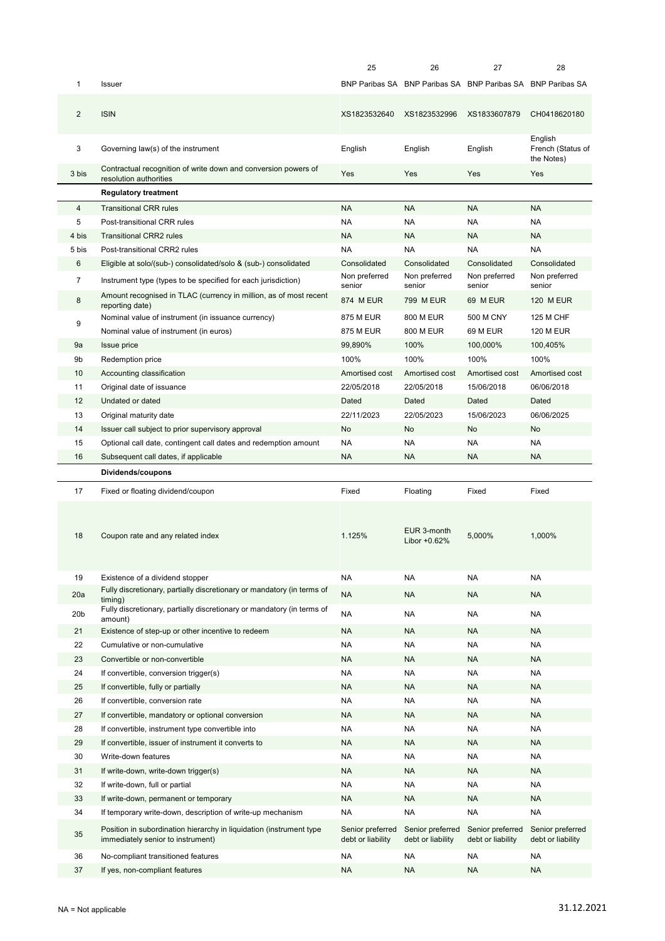|                 |                                                                                                          | 25                                    | 26                                    | 27                                                          | 28                                    |
|-----------------|----------------------------------------------------------------------------------------------------------|---------------------------------------|---------------------------------------|-------------------------------------------------------------|---------------------------------------|
| 1               | Issuer                                                                                                   |                                       |                                       | BNP Paribas SA BNP Paribas SA BNP Paribas SA BNP Paribas SA |                                       |
| $\overline{2}$  | <b>ISIN</b>                                                                                              | XS1823532640                          | XS1823532996                          | XS1833607879                                                | CH0418620180                          |
| 3               | Governing law(s) of the instrument                                                                       | English                               | English                               | English                                                     | English<br>French (Status of          |
| 3 bis           | Contractual recognition of write down and conversion powers of<br>resolution authorities                 | Yes                                   | Yes                                   | Yes                                                         | the Notes)<br>Yes                     |
|                 | <b>Regulatory treatment</b>                                                                              |                                       |                                       |                                                             |                                       |
| 4               | <b>Transitional CRR rules</b>                                                                            | <b>NA</b>                             | <b>NA</b>                             | <b>NA</b>                                                   | <b>NA</b>                             |
| 5               | Post-transitional CRR rules                                                                              | <b>NA</b>                             | <b>NA</b>                             | NA                                                          | <b>NA</b>                             |
| 4 bis           | <b>Transitional CRR2 rules</b>                                                                           | <b>NA</b>                             | <b>NA</b>                             | <b>NA</b>                                                   | <b>NA</b>                             |
| 5 bis           | Post-transitional CRR2 rules                                                                             | <b>NA</b>                             | <b>NA</b>                             | NA                                                          | <b>NA</b>                             |
| 6               |                                                                                                          | Consolidated                          | Consolidated                          | Consolidated                                                | Consolidated                          |
|                 | Eligible at solo/(sub-) consolidated/solo & (sub-) consolidated                                          | Non preferred                         | Non preferred                         | Non preferred                                               | Non preferred                         |
| $\overline{7}$  | Instrument type (types to be specified for each jurisdiction)                                            | senior                                | senior                                | senior                                                      | senior                                |
| 8               | Amount recognised in TLAC (currency in million, as of most recent<br>reporting date)                     | 874 M EUR                             | 799 M EUR                             | 69 M EUR                                                    | <b>120 M EUR</b>                      |
| 9               | Nominal value of instrument (in issuance currency)                                                       | 875 M EUR                             | 800 M EUR                             | 500 M CNY                                                   | <b>125 M CHF</b>                      |
|                 | Nominal value of instrument (in euros)                                                                   | <b>875 M EUR</b>                      | 800 M EUR                             | <b>69 M EUR</b>                                             | <b>120 M EUR</b>                      |
| 9a              | Issue price                                                                                              | 99,890%                               | 100%                                  | 100,000%                                                    | 100,405%                              |
| 9b              | Redemption price                                                                                         | 100%                                  | 100%                                  | 100%                                                        | 100%                                  |
| 10              | Accounting classification                                                                                | Amortised cost                        | Amortised cost                        | Amortised cost                                              | Amortised cost                        |
| 11              | Original date of issuance                                                                                | 22/05/2018                            | 22/05/2018                            | 15/06/2018                                                  | 06/06/2018                            |
| 12              | Undated or dated                                                                                         | Dated                                 | Dated                                 | Dated                                                       | Dated                                 |
| 13              | Original maturity date                                                                                   | 22/11/2023                            | 22/05/2023                            | 15/06/2023                                                  | 06/06/2025                            |
| 14              | Issuer call subject to prior supervisory approval                                                        | No                                    | No                                    | No                                                          | No                                    |
| 15              | Optional call date, contingent call dates and redemption amount                                          | <b>NA</b>                             | <b>NA</b>                             | <b>NA</b>                                                   | <b>NA</b>                             |
| 16              | Subsequent call dates, if applicable                                                                     | <b>NA</b>                             | <b>NA</b>                             | <b>NA</b>                                                   | <b>NA</b>                             |
|                 | Dividends/coupons                                                                                        |                                       |                                       |                                                             |                                       |
| 17              | Fixed or floating dividend/coupon                                                                        | Fixed                                 | Floating                              | Fixed                                                       | Fixed                                 |
| 18              | Coupon rate and any related index                                                                        | 1.125%                                | EUR 3-month<br>Libor $+0.62%$         | 5,000%                                                      | 1,000%                                |
| 19              | Existence of a dividend stopper                                                                          | <b>NA</b>                             | NA                                    | <b>NA</b>                                                   | <b>NA</b>                             |
| 20a             | Fully discretionary, partially discretionary or mandatory (in terms of<br>timing)                        | <b>NA</b>                             | NA                                    | <b>NA</b>                                                   | <b>NA</b>                             |
| 20 <sub>b</sub> | Fully discretionary, partially discretionary or mandatory (in terms of                                   | <b>NA</b>                             |                                       |                                                             |                                       |
|                 | amount)                                                                                                  |                                       | NA                                    | <b>NA</b>                                                   | <b>NA</b>                             |
| 21              | Existence of step-up or other incentive to redeem                                                        | <b>NA</b>                             | NA                                    | <b>NA</b>                                                   | <b>NA</b>                             |
| 22              | Cumulative or non-cumulative                                                                             | <b>NA</b>                             | NA                                    | <b>NA</b>                                                   | <b>NA</b>                             |
| 23              |                                                                                                          |                                       |                                       |                                                             |                                       |
| 24              | Convertible or non-convertible                                                                           | <b>NA</b>                             | NA                                    | <b>NA</b>                                                   | <b>NA</b>                             |
|                 | If convertible, conversion trigger(s)                                                                    | <b>NA</b>                             | <b>NA</b>                             | <b>NA</b>                                                   | <b>NA</b>                             |
| 25              | If convertible, fully or partially                                                                       | <b>NA</b>                             | <b>NA</b>                             | <b>NA</b>                                                   | <b>NA</b>                             |
| 26              | If convertible, conversion rate                                                                          | <b>NA</b>                             | <b>NA</b>                             | <b>NA</b>                                                   | <b>NA</b>                             |
| 27              | If convertible, mandatory or optional conversion                                                         | <b>NA</b>                             | <b>NA</b>                             | <b>NA</b>                                                   | <b>NA</b>                             |
| 28              | If convertible, instrument type convertible into                                                         | <b>NA</b>                             | NA                                    | NA                                                          | NA                                    |
| 29              | If convertible, issuer of instrument it converts to                                                      | <b>NA</b>                             | <b>NA</b>                             | <b>NA</b>                                                   | <b>NA</b>                             |
| 30              | Write-down features                                                                                      | <b>NA</b>                             | NA                                    | <b>NA</b>                                                   | <b>NA</b>                             |
| 31              | If write-down, write-down trigger(s)                                                                     | <b>NA</b>                             | NA                                    | <b>NA</b>                                                   | <b>NA</b>                             |
| 32              | If write-down, full or partial                                                                           | <b>NA</b>                             | <b>NA</b>                             | <b>NA</b>                                                   | <b>NA</b>                             |
| 33              | If write-down, permanent or temporary                                                                    | <b>NA</b>                             | NA                                    | <b>NA</b>                                                   | <b>NA</b>                             |
| 34              | If temporary write-down, description of write-up mechanism                                               | <b>NA</b>                             | <b>NA</b>                             | <b>NA</b>                                                   | <b>NA</b>                             |
| 35              | Position in subordination hierarchy in liquidation (instrument type<br>immediately senior to instrument) | Senior preferred<br>debt or liability | Senior preferred<br>debt or liability | Senior preferred<br>debt or liability                       | Senior preferred<br>debt or liability |
| 36              | No-compliant transitioned features                                                                       | <b>NA</b>                             | NA                                    | <b>NA</b>                                                   | <b>NA</b>                             |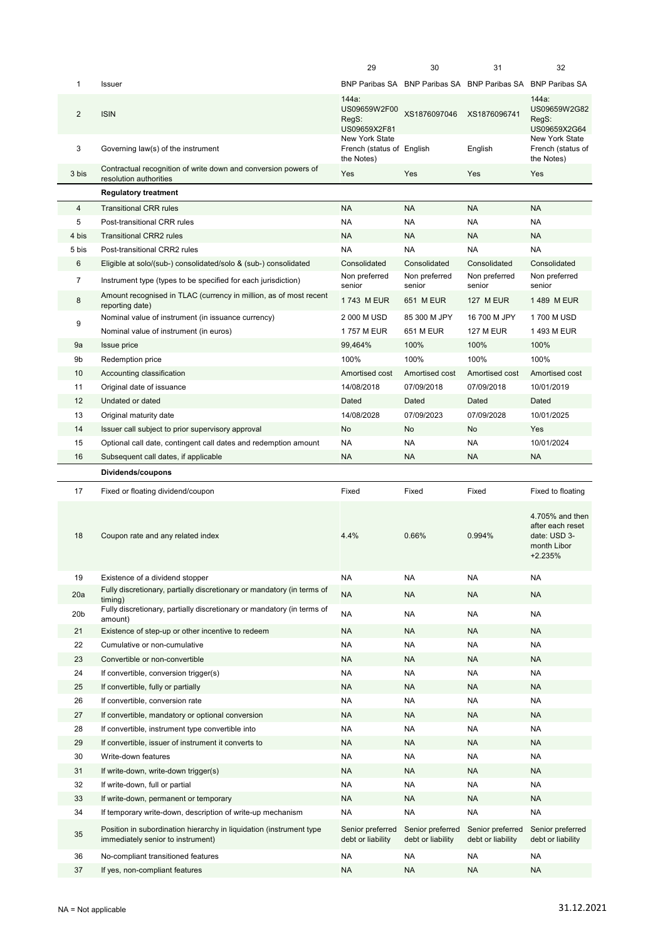|                 |                                                                                                          | 29                                                        | 30                                    | 31                                                          | 32                                                                            |
|-----------------|----------------------------------------------------------------------------------------------------------|-----------------------------------------------------------|---------------------------------------|-------------------------------------------------------------|-------------------------------------------------------------------------------|
| 1               | <b>Issuer</b>                                                                                            |                                                           |                                       | BNP Paribas SA BNP Paribas SA BNP Paribas SA BNP Paribas SA |                                                                               |
| $\overline{2}$  | <b>ISIN</b>                                                                                              | 144a:<br>US09659W2F00<br>RegS:<br>US09659X2F81            | XS1876097046                          | XS1876096741                                                | 144a:<br>US09659W2G82<br>RegS:<br>US09659X2G64                                |
| 3               | Governing law(s) of the instrument                                                                       | New York State<br>French (status of English<br>the Notes) |                                       | English                                                     | New York State<br>French (status of<br>the Notes)                             |
| 3 bis           | Contractual recognition of write down and conversion powers of<br>resolution authorities                 | Yes                                                       | Yes                                   | Yes                                                         | Yes                                                                           |
|                 | <b>Regulatory treatment</b>                                                                              |                                                           |                                       |                                                             |                                                                               |
| $\overline{4}$  | <b>Transitional CRR rules</b>                                                                            | <b>NA</b>                                                 | <b>NA</b>                             | <b>NA</b>                                                   | <b>NA</b>                                                                     |
| 5               | Post-transitional CRR rules                                                                              | <b>NA</b>                                                 | NA                                    | <b>NA</b>                                                   | <b>NA</b>                                                                     |
| 4 bis           | <b>Transitional CRR2 rules</b>                                                                           | <b>NA</b>                                                 | NA                                    | <b>NA</b>                                                   | <b>NA</b>                                                                     |
| 5 bis           | Post-transitional CRR2 rules                                                                             | <b>NA</b>                                                 | <b>NA</b>                             | <b>NA</b>                                                   | <b>NA</b>                                                                     |
| 6               | Eligible at solo/(sub-) consolidated/solo & (sub-) consolidated                                          | Consolidated                                              | Consolidated                          | Consolidated                                                | Consolidated                                                                  |
| $\overline{7}$  | Instrument type (types to be specified for each jurisdiction)                                            | Non preferred<br>senior                                   | Non preferred<br>senior               | Non preferred<br>senior                                     | Non preferred<br>senior                                                       |
| 8               | Amount recognised in TLAC (currency in million, as of most recent<br>reporting date)                     | 1743 M EUR                                                | 651 M EUR                             | <b>127 M EUR</b>                                            | 1489 M EUR                                                                    |
|                 | Nominal value of instrument (in issuance currency)                                                       | 2 000 M USD                                               | 85 300 M JPY                          | 16 700 M JPY                                                | 1700 M USD                                                                    |
| 9               | Nominal value of instrument (in euros)                                                                   | 1757 M EUR                                                | 651 M EUR                             | <b>127 M EUR</b>                                            | 1493 M EUR                                                                    |
| 9а              | <b>Issue price</b>                                                                                       | 99,464%                                                   | 100%                                  | 100%                                                        | 100%                                                                          |
| 9b              | Redemption price                                                                                         | 100%                                                      | 100%                                  | 100%                                                        | 100%                                                                          |
| 10              | Accounting classification                                                                                | Amortised cost                                            | Amortised cost                        | Amortised cost                                              | Amortised cost                                                                |
| 11              | Original date of issuance                                                                                | 14/08/2018                                                | 07/09/2018                            | 07/09/2018                                                  | 10/01/2019                                                                    |
| 12              | Undated or dated                                                                                         | Dated                                                     | Dated                                 | Dated                                                       | Dated                                                                         |
| 13              | Original maturity date                                                                                   | 14/08/2028                                                | 07/09/2023                            | 07/09/2028                                                  | 10/01/2025                                                                    |
| 14              | Issuer call subject to prior supervisory approval                                                        | <b>No</b>                                                 | No                                    | No                                                          | Yes                                                                           |
| 15              | Optional call date, contingent call dates and redemption amount                                          | <b>NA</b>                                                 | <b>NA</b>                             | <b>NA</b>                                                   | 10/01/2024                                                                    |
| 16              | Subsequent call dates, if applicable                                                                     | <b>NA</b>                                                 | NA                                    | <b>NA</b>                                                   | <b>NA</b>                                                                     |
|                 |                                                                                                          |                                                           |                                       |                                                             |                                                                               |
|                 |                                                                                                          |                                                           |                                       |                                                             |                                                                               |
|                 | Dividends/coupons                                                                                        |                                                           |                                       |                                                             |                                                                               |
| 17              | Fixed or floating dividend/coupon                                                                        | Fixed                                                     | Fixed                                 | Fixed                                                       | Fixed to floating                                                             |
| 18              | Coupon rate and any related index                                                                        | 4.4%                                                      | 0.66%                                 | 0.994%                                                      | 4.705% and then<br>after each reset<br>date: USD 3-<br>month Libor<br>+2.235% |
| 19              | Existence of a dividend stopper                                                                          | <b>NA</b>                                                 | NA                                    | <b>NA</b>                                                   | <b>NA</b>                                                                     |
| 20a             | Fully discretionary, partially discretionary or mandatory (in terms of                                   | <b>NA</b>                                                 | <b>NA</b>                             | <b>NA</b>                                                   | <b>NA</b>                                                                     |
|                 | timing)<br>Fully discretionary, partially discretionary or mandatory (in terms of                        |                                                           |                                       |                                                             |                                                                               |
| 20 <sub>b</sub> | amount)                                                                                                  | <b>NA</b>                                                 | NA                                    | <b>NA</b>                                                   | <b>NA</b>                                                                     |
| 21              | Existence of step-up or other incentive to redeem                                                        | <b>NA</b>                                                 | ΝA                                    | <b>NA</b>                                                   | <b>NA</b>                                                                     |
| 22              | Cumulative or non-cumulative                                                                             | <b>NA</b>                                                 | NA                                    | <b>NA</b>                                                   | <b>NA</b>                                                                     |
| 23              | Convertible or non-convertible                                                                           | <b>NA</b>                                                 | NA                                    | <b>NA</b>                                                   | <b>NA</b>                                                                     |
| 24              | If convertible, conversion trigger(s)                                                                    | <b>NA</b>                                                 | NA                                    | <b>NA</b>                                                   | <b>NA</b>                                                                     |
| 25              | If convertible, fully or partially                                                                       | <b>NA</b>                                                 | ΝA                                    | <b>NA</b>                                                   | <b>NA</b>                                                                     |
| 26              | If convertible, conversion rate                                                                          | <b>NA</b>                                                 | NA                                    | <b>NA</b>                                                   | <b>NA</b>                                                                     |
| 27              | If convertible, mandatory or optional conversion                                                         | <b>NA</b>                                                 | ΝA                                    | <b>NA</b>                                                   | <b>NA</b>                                                                     |
| 28              | If convertible, instrument type convertible into                                                         | <b>NA</b>                                                 | NA                                    | <b>NA</b>                                                   | <b>NA</b>                                                                     |
| 29              | If convertible, issuer of instrument it converts to                                                      | <b>NA</b>                                                 | NA                                    | <b>NA</b>                                                   | <b>NA</b>                                                                     |
| 30              | Write-down features                                                                                      | <b>NA</b>                                                 | NA                                    | <b>NA</b>                                                   | <b>NA</b>                                                                     |
| 31              | If write-down, write-down trigger(s)                                                                     | <b>NA</b>                                                 | NA                                    | <b>NA</b>                                                   | <b>NA</b>                                                                     |
| 32              | If write-down, full or partial                                                                           | <b>NA</b>                                                 | NA                                    | <b>NA</b>                                                   | <b>NA</b>                                                                     |
| 33              | If write-down, permanent or temporary                                                                    | <b>NA</b>                                                 | NA                                    | <b>NA</b>                                                   | <b>NA</b>                                                                     |
| 34              | If temporary write-down, description of write-up mechanism                                               | <b>NA</b>                                                 | NA                                    | <b>NA</b>                                                   | <b>NA</b>                                                                     |
| 35              | Position in subordination hierarchy in liquidation (instrument type<br>immediately senior to instrument) | Senior preferred<br>debt or liability                     | Senior preferred<br>debt or liability | Senior preferred<br>debt or liability                       | Senior preferred<br>debt or liability                                         |
| 36              | No-compliant transitioned features                                                                       | <b>NA</b>                                                 | NA                                    | <b>NA</b>                                                   | <b>NA</b>                                                                     |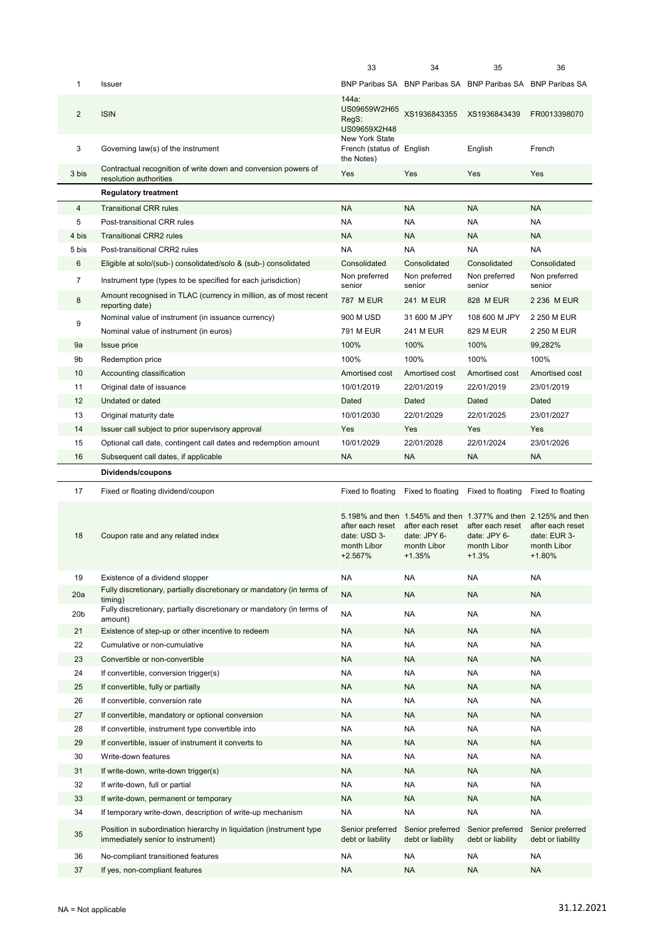|                 |                                                                                                          | 33                                                         | 34                                                          | 35                                                                                                                            | 36                                                          |
|-----------------|----------------------------------------------------------------------------------------------------------|------------------------------------------------------------|-------------------------------------------------------------|-------------------------------------------------------------------------------------------------------------------------------|-------------------------------------------------------------|
| 1               | <b>Issuer</b>                                                                                            |                                                            |                                                             | BNP Paribas SA BNP Paribas SA BNP Paribas SA BNP Paribas SA                                                                   |                                                             |
| $\overline{2}$  | <b>ISIN</b>                                                                                              | 144a:<br>US09659W2H65<br>RegS:<br>US09659X2H48             | XS1936843355                                                | XS1936843439                                                                                                                  | FR0013398070                                                |
| 3               | Governing law(s) of the instrument                                                                       | New York State<br>French (status of English<br>the Notes)  |                                                             | English                                                                                                                       | French                                                      |
| 3 bis           | Contractual recognition of write down and conversion powers of<br>resolution authorities                 | Yes                                                        | Yes                                                         | Yes                                                                                                                           | Yes                                                         |
|                 | <b>Regulatory treatment</b>                                                                              |                                                            |                                                             |                                                                                                                               |                                                             |
| $\overline{4}$  | <b>Transitional CRR rules</b>                                                                            | <b>NA</b>                                                  | <b>NA</b>                                                   | <b>NA</b>                                                                                                                     | <b>NA</b>                                                   |
| 5               | Post-transitional CRR rules                                                                              | <b>NA</b>                                                  | <b>NA</b>                                                   | NA                                                                                                                            | <b>NA</b>                                                   |
| 4 bis           | <b>Transitional CRR2 rules</b>                                                                           | <b>NA</b>                                                  | <b>NA</b>                                                   | <b>NA</b>                                                                                                                     | <b>NA</b>                                                   |
| 5 bis           | Post-transitional CRR2 rules                                                                             | <b>NA</b>                                                  | <b>NA</b>                                                   | <b>NA</b>                                                                                                                     | <b>NA</b>                                                   |
| 6               | Eligible at solo/(sub-) consolidated/solo & (sub-) consolidated                                          | Consolidated                                               | Consolidated                                                | Consolidated                                                                                                                  | Consolidated                                                |
| 7               | Instrument type (types to be specified for each jurisdiction)                                            | Non preferred<br>senior                                    | Non preferred<br>senior                                     | Non preferred<br>senior                                                                                                       | Non preferred<br>senior                                     |
| 8               | Amount recognised in TLAC (currency in million, as of most recent<br>reporting date)                     | <b>787 M EUR</b>                                           | 241 M EUR                                                   | 828 M EUR                                                                                                                     | 2 236 M EUR                                                 |
|                 | Nominal value of instrument (in issuance currency)                                                       | 900 M USD                                                  | 31 600 M JPY                                                | 108 600 M JPY                                                                                                                 | 2 250 M EUR                                                 |
| 9               | Nominal value of instrument (in euros)                                                                   | <b>791 M EUR</b>                                           | 241 M EUR                                                   | 829 M EUR                                                                                                                     | 2 250 M EUR                                                 |
| 9a              | <b>Issue price</b>                                                                                       | 100%                                                       | 100%                                                        | 100%                                                                                                                          | 99,282%                                                     |
| 9b              | Redemption price                                                                                         | 100%                                                       | 100%                                                        | 100%                                                                                                                          | 100%                                                        |
| 10              | Accounting classification                                                                                | Amortised cost                                             | Amortised cost                                              | Amortised cost                                                                                                                | Amortised cost                                              |
| 11              | Original date of issuance                                                                                | 10/01/2019                                                 | 22/01/2019                                                  | 22/01/2019                                                                                                                    | 23/01/2019                                                  |
| 12              | Undated or dated                                                                                         | Dated                                                      | Dated                                                       | Dated                                                                                                                         | Dated                                                       |
| 13              | Original maturity date                                                                                   | 10/01/2030                                                 | 22/01/2029                                                  | 22/01/2025                                                                                                                    | 23/01/2027                                                  |
| 14              | Issuer call subject to prior supervisory approval                                                        | Yes                                                        | Yes                                                         | Yes                                                                                                                           | Yes                                                         |
| 15              | Optional call date, contingent call dates and redemption amount                                          | 10/01/2029                                                 | 22/01/2028                                                  | 22/01/2024                                                                                                                    | 23/01/2026                                                  |
| 16              | Subsequent call dates, if applicable                                                                     | <b>NA</b>                                                  | <b>NA</b>                                                   | <b>NA</b>                                                                                                                     | <b>NA</b>                                                   |
|                 |                                                                                                          |                                                            |                                                             |                                                                                                                               |                                                             |
|                 |                                                                                                          |                                                            |                                                             |                                                                                                                               |                                                             |
|                 | Dividends/coupons                                                                                        |                                                            |                                                             |                                                                                                                               |                                                             |
| 17              | Fixed or floating dividend/coupon                                                                        | Fixed to floating                                          | Fixed to floating                                           | Fixed to floating                                                                                                             | Fixed to floating                                           |
| 18              | Coupon rate and any related index                                                                        | after each reset<br>date: USD 3-<br>month Libor<br>+2.567% | after each reset<br>date: JPY 6-<br>month Libor<br>$+1.35%$ | 5.198% and then 1.545% and then 1.377% and then 2.125% and then<br>after each reset<br>date: JPY 6-<br>month Libor<br>$+1.3%$ | after each reset<br>date: EUR 3-<br>month Libor<br>$+1.80%$ |
| 19              | Existence of a dividend stopper                                                                          | NA                                                         | NA                                                          | NA                                                                                                                            | NA                                                          |
| 20a             | Fully discretionary, partially discretionary or mandatory (in terms of                                   | <b>NA</b>                                                  | <b>NA</b>                                                   | <b>NA</b>                                                                                                                     | <b>NA</b>                                                   |
|                 | timing)                                                                                                  |                                                            |                                                             |                                                                                                                               |                                                             |
| 20 <sub>b</sub> | Fully discretionary, partially discretionary or mandatory (in terms of<br>amount)                        | NA                                                         | NA                                                          | NA                                                                                                                            | NA                                                          |
| 21              | Existence of step-up or other incentive to redeem                                                        | <b>NA</b>                                                  | <b>NA</b>                                                   | <b>NA</b>                                                                                                                     | <b>NA</b>                                                   |
| 22              | Cumulative or non-cumulative                                                                             | <b>NA</b>                                                  | <b>NA</b>                                                   | <b>NA</b>                                                                                                                     | <b>NA</b>                                                   |
| 23              | Convertible or non-convertible                                                                           | <b>NA</b>                                                  | <b>NA</b>                                                   | NA                                                                                                                            | <b>NA</b>                                                   |
| 24              | If convertible, conversion trigger(s)                                                                    | NA                                                         | <b>NA</b>                                                   | NA                                                                                                                            | NA                                                          |
| 25              | If convertible, fully or partially                                                                       | <b>NA</b>                                                  | <b>NA</b>                                                   | NA                                                                                                                            | <b>NA</b>                                                   |
| 26              | If convertible, conversion rate                                                                          | NA                                                         | NA                                                          | NA                                                                                                                            | NA                                                          |
| 27              | If convertible, mandatory or optional conversion                                                         | <b>NA</b>                                                  | <b>NA</b>                                                   | NA                                                                                                                            | <b>NA</b>                                                   |
| 28              | If convertible, instrument type convertible into                                                         | NA                                                         | <b>NA</b>                                                   | NA                                                                                                                            | <b>NA</b>                                                   |
| 29              | If convertible, issuer of instrument it converts to                                                      | <b>NA</b>                                                  | <b>NA</b>                                                   | NA                                                                                                                            | <b>NA</b>                                                   |
| 30              | Write-down features                                                                                      | NA                                                         | NA                                                          | NA                                                                                                                            | NA                                                          |
| 31              | If write-down, write-down trigger(s)                                                                     | <b>NA</b>                                                  | <b>NA</b>                                                   | <b>NA</b>                                                                                                                     | <b>NA</b>                                                   |
| 32              | If write-down, full or partial                                                                           | NA                                                         | NA                                                          | NA                                                                                                                            | NA                                                          |
| 33              | If write-down, permanent or temporary                                                                    | <b>NA</b>                                                  | <b>NA</b>                                                   | <b>NA</b>                                                                                                                     | <b>NA</b>                                                   |
| 34              | If temporary write-down, description of write-up mechanism                                               | <b>NA</b>                                                  | <b>NA</b>                                                   | <b>NA</b>                                                                                                                     | <b>NA</b>                                                   |
| 35              | Position in subordination hierarchy in liquidation (instrument type<br>immediately senior to instrument) | Senior preferred<br>debt or liability                      | Senior preferred<br>debt or liability                       | Senior preferred<br>debt or liability                                                                                         | Senior preferred<br>debt or liability                       |
| 36              | No-compliant transitioned features                                                                       | NA                                                         | <b>NA</b>                                                   | NA                                                                                                                            | NA                                                          |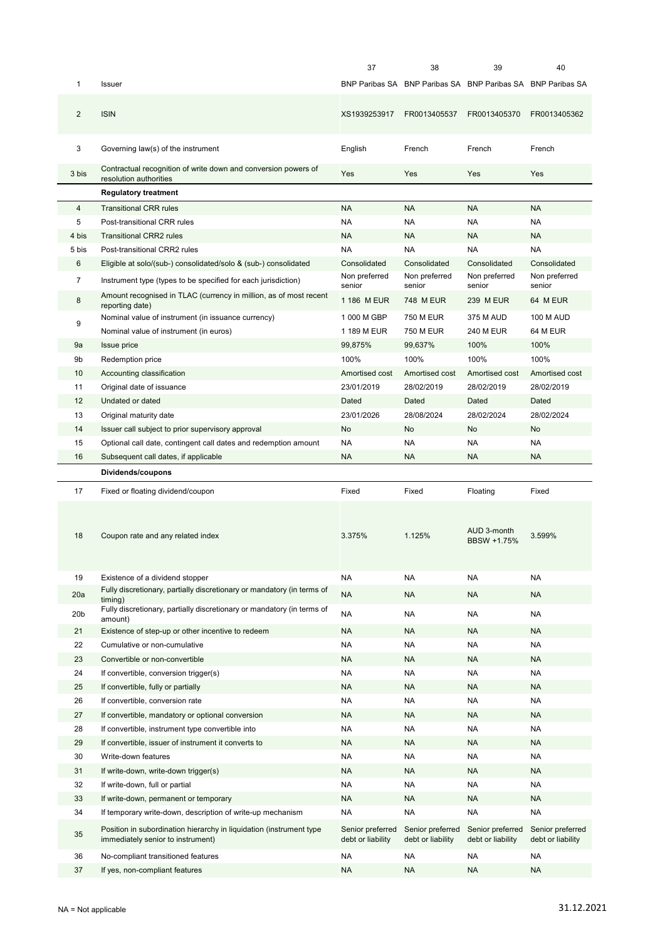|                 |                                                                                                          | 37                                    | 38                                                          | 39                                     | 40                                    |
|-----------------|----------------------------------------------------------------------------------------------------------|---------------------------------------|-------------------------------------------------------------|----------------------------------------|---------------------------------------|
| 1               | Issuer                                                                                                   |                                       | BNP Paribas SA BNP Paribas SA BNP Paribas SA BNP Paribas SA |                                        |                                       |
| $\overline{2}$  | <b>ISIN</b>                                                                                              | XS1939253917                          | FR0013405537                                                | FR0013405370                           | FR0013405362                          |
| 3               | Governing law(s) of the instrument                                                                       | English                               | French                                                      | French                                 | French                                |
| 3 bis           | Contractual recognition of write down and conversion powers of<br>resolution authorities                 | Yes                                   | Yes                                                         | Yes                                    | Yes                                   |
|                 | <b>Regulatory treatment</b>                                                                              |                                       |                                                             |                                        |                                       |
| $\overline{4}$  | <b>Transitional CRR rules</b>                                                                            | NA.                                   | <b>NA</b>                                                   | NA                                     | <b>NA</b>                             |
| 5               | Post-transitional CRR rules                                                                              | <b>NA</b>                             | NA                                                          | <b>NA</b>                              | <b>NA</b>                             |
| 4 bis           | <b>Transitional CRR2 rules</b>                                                                           | <b>NA</b>                             | <b>NA</b>                                                   | <b>NA</b>                              | <b>NA</b>                             |
| 5 bis           | Post-transitional CRR2 rules                                                                             | <b>NA</b>                             | <b>NA</b>                                                   | NA                                     | <b>NA</b>                             |
| 6               | Eligible at solo/(sub-) consolidated/solo & (sub-) consolidated                                          | Consolidated                          | Consolidated                                                | Consolidated                           | Consolidated                          |
| $\overline{7}$  | Instrument type (types to be specified for each jurisdiction)                                            | Non preferred<br>senior               | Non preferred<br>senior                                     | Non preferred<br>senior                | Non preferred<br>senior               |
| 8               | Amount recognised in TLAC (currency in million, as of most recent<br>reporting date)                     | 1 186 M EUR                           | 748 M EUR                                                   | 239 M EUR                              | 64 M EUR                              |
|                 | Nominal value of instrument (in issuance currency)                                                       | 1 000 M GBP                           | 750 M EUR                                                   | 375 M AUD                              | <b>100 M AUD</b>                      |
| 9               | Nominal value of instrument (in euros)                                                                   | 1 189 M EUR                           | <b>750 M EUR</b>                                            | <b>240 M EUR</b>                       | 64 M EUR                              |
| 9a              | <b>Issue price</b>                                                                                       | 99,875%                               | 99,637%                                                     | 100%                                   | 100%                                  |
| 9b              | Redemption price                                                                                         | 100%                                  | 100%                                                        | 100%                                   | 100%                                  |
| 10              | Accounting classification                                                                                | Amortised cost                        | Amortised cost                                              | Amortised cost                         | Amortised cost                        |
| 11              | Original date of issuance                                                                                | 23/01/2019                            | 28/02/2019                                                  | 28/02/2019                             | 28/02/2019                            |
| 12              | Undated or dated                                                                                         | Dated                                 | Dated                                                       | Dated                                  | Dated                                 |
| 13              | Original maturity date                                                                                   | 23/01/2026                            | 28/08/2024                                                  | 28/02/2024                             | 28/02/2024                            |
| 14              | Issuer call subject to prior supervisory approval                                                        | No                                    | No                                                          | No                                     | No                                    |
| 15              | Optional call date, contingent call dates and redemption amount                                          | <b>NA</b>                             | <b>NA</b>                                                   | <b>NA</b>                              | <b>NA</b>                             |
| 16              | Subsequent call dates, if applicable                                                                     | <b>NA</b>                             | <b>NA</b>                                                   | <b>NA</b>                              | <b>NA</b>                             |
|                 |                                                                                                          |                                       |                                                             |                                        |                                       |
|                 |                                                                                                          |                                       |                                                             |                                        |                                       |
|                 | Dividends/coupons                                                                                        |                                       |                                                             |                                        |                                       |
| 17<br>18        | Fixed or floating dividend/coupon<br>Coupon rate and any related index                                   | Fixed<br>3.375%                       | Fixed<br>1.125%                                             | Floating<br>AUD 3-month<br>BBSW +1.75% | Fixed<br>3.599%                       |
| 19              | Existence of a dividend stopper                                                                          | <b>NA</b>                             | NA                                                          | <b>NA</b>                              | <b>NA</b>                             |
| 20a             | Fully discretionary, partially discretionary or mandatory (in terms of                                   | <b>NA</b>                             | <b>NA</b>                                                   | <b>NA</b>                              | <b>NA</b>                             |
|                 | timing)                                                                                                  |                                       |                                                             |                                        |                                       |
| 20 <sub>b</sub> | Fully discretionary, partially discretionary or mandatory (in terms of<br>amount)                        | <b>NA</b>                             | NA                                                          | <b>NA</b>                              | <b>NA</b>                             |
| 21              | Existence of step-up or other incentive to redeem                                                        | <b>NA</b>                             | <b>NA</b>                                                   | <b>NA</b>                              | <b>NA</b>                             |
| 22              | Cumulative or non-cumulative                                                                             | <b>NA</b>                             | NA                                                          | NA                                     | <b>NA</b>                             |
| 23              | Convertible or non-convertible                                                                           | <b>NA</b>                             | NA                                                          | <b>NA</b>                              | <b>NA</b>                             |
| 24              | If convertible, conversion trigger(s)                                                                    | <b>NA</b>                             | NA                                                          | <b>NA</b>                              | NA                                    |
| 25              | If convertible, fully or partially                                                                       | <b>NA</b>                             | <b>NA</b>                                                   | <b>NA</b>                              | <b>NA</b>                             |
| 26              | If convertible, conversion rate                                                                          | <b>NA</b>                             | NA                                                          | <b>NA</b>                              | <b>NA</b>                             |
| 27              | If convertible, mandatory or optional conversion                                                         | <b>NA</b>                             | <b>NA</b>                                                   | <b>NA</b>                              | <b>NA</b>                             |
| 28              | If convertible, instrument type convertible into                                                         | NA                                    | NA                                                          | <b>NA</b>                              | <b>NA</b>                             |
| 29              | If convertible, issuer of instrument it converts to                                                      | <b>NA</b>                             | <b>NA</b>                                                   | <b>NA</b>                              | <b>NA</b>                             |
| 30              | Write-down features                                                                                      | <b>NA</b>                             | <b>NA</b>                                                   | <b>NA</b>                              | <b>NA</b>                             |
| 31              | If write-down, write-down trigger(s)                                                                     | <b>NA</b>                             | <b>NA</b>                                                   | <b>NA</b>                              | <b>NA</b>                             |
| 32              | If write-down, full or partial                                                                           | <b>NA</b>                             | NA                                                          | <b>NA</b>                              | <b>NA</b>                             |
| 33              | If write-down, permanent or temporary                                                                    | <b>NA</b>                             | <b>NA</b>                                                   | <b>NA</b>                              | <b>NA</b>                             |
| 34              | If temporary write-down, description of write-up mechanism                                               | <b>NA</b>                             | <b>NA</b>                                                   | <b>NA</b>                              | <b>NA</b>                             |
| 35              | Position in subordination hierarchy in liquidation (instrument type<br>immediately senior to instrument) | Senior preferred<br>debt or liability | Senior preferred<br>debt or liability                       | Senior preferred<br>debt or liability  | Senior preferred<br>debt or liability |
| 36              | No-compliant transitioned features                                                                       | <b>NA</b>                             | NA                                                          | NA                                     | <b>NA</b>                             |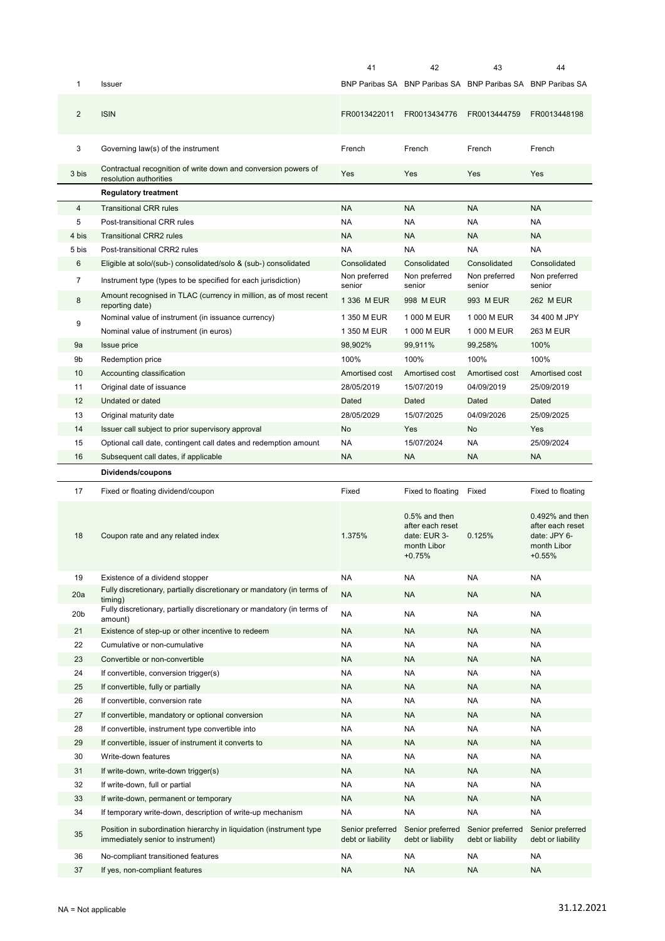|                 |                                                                                                                                                                        | 41                                                 | 42                                                                                                  | 43                                                          | 44                                                                                                  |
|-----------------|------------------------------------------------------------------------------------------------------------------------------------------------------------------------|----------------------------------------------------|-----------------------------------------------------------------------------------------------------|-------------------------------------------------------------|-----------------------------------------------------------------------------------------------------|
| 1               | Issuer                                                                                                                                                                 |                                                    |                                                                                                     | BNP Paribas SA BNP Paribas SA BNP Paribas SA BNP Paribas SA |                                                                                                     |
| 2               | <b>ISIN</b>                                                                                                                                                            | FR0013422011                                       | FR0013434776                                                                                        | FR0013444759                                                | FR0013448198                                                                                        |
| 3               | Governing law(s) of the instrument                                                                                                                                     | French                                             | French                                                                                              | French                                                      | French                                                                                              |
| 3 bis           | Contractual recognition of write down and conversion powers of<br>resolution authorities                                                                               | Yes                                                | Yes                                                                                                 | Yes                                                         | Yes                                                                                                 |
|                 | <b>Regulatory treatment</b>                                                                                                                                            |                                                    |                                                                                                     |                                                             |                                                                                                     |
| $\overline{4}$  | <b>Transitional CRR rules</b>                                                                                                                                          | <b>NA</b>                                          | <b>NA</b>                                                                                           | NA                                                          | <b>NA</b>                                                                                           |
| 5               | Post-transitional CRR rules                                                                                                                                            | <b>NA</b>                                          | <b>NA</b>                                                                                           | NA                                                          | <b>NA</b>                                                                                           |
| 4 bis           | <b>Transitional CRR2 rules</b>                                                                                                                                         | <b>NA</b>                                          | <b>NA</b>                                                                                           | <b>NA</b>                                                   | <b>NA</b>                                                                                           |
| 5 bis           | Post-transitional CRR2 rules                                                                                                                                           | <b>NA</b>                                          | <b>NA</b>                                                                                           | NA.                                                         | <b>NA</b>                                                                                           |
| 6               | Eligible at solo/(sub-) consolidated/solo & (sub-) consolidated                                                                                                        | Consolidated                                       | Consolidated                                                                                        | Consolidated                                                | Consolidated                                                                                        |
|                 |                                                                                                                                                                        | Non preferred                                      | Non preferred                                                                                       | Non preferred                                               | Non preferred                                                                                       |
| $\overline{7}$  | Instrument type (types to be specified for each jurisdiction)                                                                                                          | senior                                             | senior                                                                                              | senior                                                      | senior                                                                                              |
| 8               | Amount recognised in TLAC (currency in million, as of most recent<br>reporting date)                                                                                   | 1 336 M EUR                                        | 998 M EUR                                                                                           | 993 M EUR                                                   | <b>262 M EUR</b>                                                                                    |
| 9               | Nominal value of instrument (in issuance currency)                                                                                                                     | 1 350 M EUR                                        | 1 000 M EUR                                                                                         | 1 000 M EUR                                                 | 34 400 M JPY                                                                                        |
|                 | Nominal value of instrument (in euros)                                                                                                                                 | 1 350 M EUR                                        | 1 000 M EUR                                                                                         | 1 000 M EUR                                                 | <b>263 M EUR</b>                                                                                    |
| 9a              | Issue price                                                                                                                                                            | 98,902%                                            | 99,911%                                                                                             | 99,258%                                                     | 100%                                                                                                |
| 9b              | Redemption price                                                                                                                                                       | 100%                                               | 100%                                                                                                | 100%                                                        | 100%                                                                                                |
| 10              | Accounting classification                                                                                                                                              | Amortised cost                                     | Amortised cost                                                                                      | Amortised cost                                              | Amortised cost                                                                                      |
| 11              | Original date of issuance                                                                                                                                              | 28/05/2019                                         | 15/07/2019                                                                                          | 04/09/2019                                                  | 25/09/2019                                                                                          |
| 12              | Undated or dated                                                                                                                                                       | Dated                                              | Dated                                                                                               | Dated                                                       | Dated                                                                                               |
| 13              | Original maturity date                                                                                                                                                 | 28/05/2029                                         | 15/07/2025                                                                                          | 04/09/2026                                                  | 25/09/2025                                                                                          |
| 14              | Issuer call subject to prior supervisory approval                                                                                                                      | No                                                 | Yes                                                                                                 | No                                                          | Yes                                                                                                 |
| 15              | Optional call date, contingent call dates and redemption amount                                                                                                        | <b>NA</b>                                          | 15/07/2024                                                                                          | NA                                                          | 25/09/2024                                                                                          |
| 16              | Subsequent call dates, if applicable                                                                                                                                   | <b>NA</b>                                          | <b>NA</b>                                                                                           | <b>NA</b>                                                   | <b>NA</b>                                                                                           |
|                 |                                                                                                                                                                        |                                                    |                                                                                                     |                                                             |                                                                                                     |
|                 | Dividends/coupons                                                                                                                                                      |                                                    |                                                                                                     |                                                             |                                                                                                     |
|                 |                                                                                                                                                                        |                                                    |                                                                                                     |                                                             |                                                                                                     |
| 17<br>18        | Fixed or floating dividend/coupon<br>Coupon rate and any related index                                                                                                 | Fixed<br>1.375%                                    | Fixed to floating<br>$0.5%$ and then<br>after each reset<br>date: EUR 3-<br>month Libor<br>$+0.75%$ | Fixed<br>0.125%                                             | Fixed to floating<br>0.492% and then<br>after each reset<br>date: JPY 6-<br>month Libor<br>$+0.55%$ |
| 19              | Existence of a dividend stopper                                                                                                                                        | <b>NA</b>                                          | <b>NA</b>                                                                                           | NA                                                          | <b>NA</b>                                                                                           |
|                 | Fully discretionary, partially discretionary or mandatory (in terms of                                                                                                 |                                                    |                                                                                                     |                                                             |                                                                                                     |
| 20a             | timing)                                                                                                                                                                | <b>NA</b>                                          | <b>NA</b>                                                                                           | <b>NA</b>                                                   | <b>NA</b>                                                                                           |
| 20 <sub>b</sub> | Fully discretionary, partially discretionary or mandatory (in terms of<br>amount)                                                                                      | <b>NA</b>                                          | <b>NA</b>                                                                                           | <b>NA</b>                                                   | <b>NA</b>                                                                                           |
| 21              | Existence of step-up or other incentive to redeem                                                                                                                      | <b>NA</b>                                          | <b>NA</b>                                                                                           | <b>NA</b>                                                   | <b>NA</b>                                                                                           |
| 22              | Cumulative or non-cumulative                                                                                                                                           | <b>NA</b>                                          | <b>NA</b>                                                                                           | NA                                                          | <b>NA</b>                                                                                           |
| 23              | Convertible or non-convertible                                                                                                                                         | <b>NA</b>                                          | <b>NA</b>                                                                                           | <b>NA</b>                                                   | <b>NA</b>                                                                                           |
| 24              | If convertible, conversion trigger(s)                                                                                                                                  | <b>NA</b>                                          | NA                                                                                                  | NA                                                          | <b>NA</b>                                                                                           |
| 25              | If convertible, fully or partially                                                                                                                                     | <b>NA</b>                                          | <b>NA</b>                                                                                           | <b>NA</b>                                                   | <b>NA</b>                                                                                           |
| 26              | If convertible, conversion rate                                                                                                                                        | <b>NA</b>                                          | NA                                                                                                  | NA                                                          | <b>NA</b>                                                                                           |
| 27              | If convertible, mandatory or optional conversion                                                                                                                       | <b>NA</b>                                          | <b>NA</b>                                                                                           | <b>NA</b>                                                   | <b>NA</b>                                                                                           |
| 28              | If convertible, instrument type convertible into                                                                                                                       | <b>NA</b>                                          | NA                                                                                                  | NA                                                          | <b>NA</b>                                                                                           |
| 29              | If convertible, issuer of instrument it converts to                                                                                                                    | <b>NA</b>                                          | <b>NA</b>                                                                                           | <b>NA</b>                                                   | <b>NA</b>                                                                                           |
| 30              | Write-down features                                                                                                                                                    | <b>NA</b>                                          | NA                                                                                                  | NA                                                          | <b>NA</b>                                                                                           |
| 31              | If write-down, write-down trigger(s)                                                                                                                                   | <b>NA</b>                                          | <b>NA</b>                                                                                           | <b>NA</b>                                                   | <b>NA</b>                                                                                           |
|                 |                                                                                                                                                                        | <b>NA</b>                                          | <b>NA</b>                                                                                           | NA                                                          | <b>NA</b>                                                                                           |
| 32              | If write-down, full or partial                                                                                                                                         |                                                    |                                                                                                     |                                                             |                                                                                                     |
| 33              | If write-down, permanent or temporary                                                                                                                                  | <b>NA</b>                                          | <b>NA</b>                                                                                           | <b>NA</b>                                                   | <b>NA</b>                                                                                           |
| 34<br>35        | If temporary write-down, description of write-up mechanism<br>Position in subordination hierarchy in liquidation (instrument type<br>immediately senior to instrument) | <b>NA</b><br>Senior preferred<br>debt or liability | <b>NA</b><br>Senior preferred<br>debt or liability                                                  | <b>NA</b><br>Senior preferred<br>debt or liability          | <b>NA</b><br>Senior preferred<br>debt or liability                                                  |
|                 |                                                                                                                                                                        |                                                    |                                                                                                     |                                                             |                                                                                                     |
| 36<br>37        | No-compliant transitioned features<br>If yes, non-compliant features                                                                                                   | <b>NA</b><br><b>NA</b>                             | NA<br>ΝA                                                                                            | NA<br><b>NA</b>                                             | <b>NA</b><br><b>NA</b>                                                                              |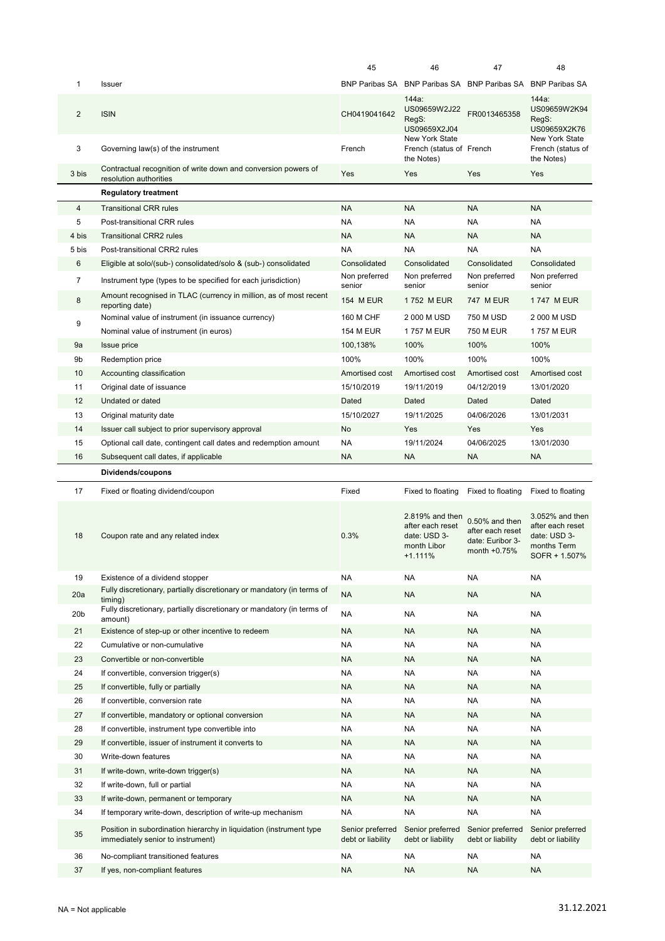|                 |                                                                                                          | 45                                    | 46                                                                                                   | 47                                                                                             | 48                                                                                                       |
|-----------------|----------------------------------------------------------------------------------------------------------|---------------------------------------|------------------------------------------------------------------------------------------------------|------------------------------------------------------------------------------------------------|----------------------------------------------------------------------------------------------------------|
| 1               | Issuer                                                                                                   |                                       | BNP Paribas SA BNP Paribas SA BNP Paribas SA BNP Paribas SA                                          |                                                                                                |                                                                                                          |
| $\overline{2}$  | <b>ISIN</b>                                                                                              | CH0419041642                          | 144a:<br>US09659W2J22<br>RegS:<br>US09659X2J04                                                       | FR0013465358                                                                                   | 144a<br>US09659W2K94<br>RegS:<br>US09659X2K76                                                            |
| 3               | Governing law(s) of the instrument                                                                       | French                                | New York State<br>French (status of French<br>the Notes)                                             |                                                                                                | New York State<br>French (status of<br>the Notes)                                                        |
| 3 bis           | Contractual recognition of write down and conversion powers of<br>resolution authorities                 | Yes                                   | Yes                                                                                                  | Yes                                                                                            | Yes                                                                                                      |
|                 | <b>Regulatory treatment</b>                                                                              |                                       |                                                                                                      |                                                                                                |                                                                                                          |
| $\overline{4}$  | <b>Transitional CRR rules</b>                                                                            | <b>NA</b>                             | <b>NA</b>                                                                                            | <b>NA</b>                                                                                      | <b>NA</b>                                                                                                |
| 5               | Post-transitional CRR rules                                                                              | <b>NA</b>                             | NA                                                                                                   | <b>NA</b>                                                                                      | <b>NA</b>                                                                                                |
| 4 bis           | <b>Transitional CRR2 rules</b>                                                                           | <b>NA</b>                             | <b>NA</b>                                                                                            | <b>NA</b>                                                                                      | <b>NA</b>                                                                                                |
| 5 bis           | Post-transitional CRR2 rules                                                                             | <b>NA</b>                             | <b>NA</b>                                                                                            | <b>NA</b>                                                                                      | <b>NA</b>                                                                                                |
| 6               | Eligible at solo/(sub-) consolidated/solo & (sub-) consolidated                                          | Consolidated                          | Consolidated                                                                                         | Consolidated                                                                                   | Consolidated                                                                                             |
| 7               | Instrument type (types to be specified for each jurisdiction)                                            | Non preferred                         | Non preferred                                                                                        | Non preferred                                                                                  | Non preferred                                                                                            |
| 8               | Amount recognised in TLAC (currency in million, as of most recent                                        | senior<br><b>154 M EUR</b>            | senior<br>1752 M EUR                                                                                 | senior<br><b>747 M EUR</b>                                                                     | senior<br>1747 M EUR                                                                                     |
|                 | reporting date)<br>Nominal value of instrument (in issuance currency)                                    | 160 M CHF                             | 2 000 M USD                                                                                          | 750 M USD                                                                                      | 2 000 M USD                                                                                              |
| 9               | Nominal value of instrument (in euros)                                                                   | <b>154 M EUR</b>                      | 1757 M EUR                                                                                           | 750 M EUR                                                                                      | 1757 M EUR                                                                                               |
| 9a              | Issue price                                                                                              | 100,138%                              | 100%                                                                                                 | 100%                                                                                           | 100%                                                                                                     |
| 9b              | Redemption price                                                                                         | 100%                                  | 100%                                                                                                 | 100%                                                                                           | 100%                                                                                                     |
| 10              | Accounting classification                                                                                | Amortised cost                        | Amortised cost                                                                                       | Amortised cost                                                                                 | Amortised cost                                                                                           |
| 11              | Original date of issuance                                                                                | 15/10/2019                            | 19/11/2019                                                                                           | 04/12/2019                                                                                     | 13/01/2020                                                                                               |
| 12              | Undated or dated                                                                                         | Dated                                 | <b>Dated</b>                                                                                         | Dated                                                                                          | Dated                                                                                                    |
| 13              | Original maturity date                                                                                   | 15/10/2027                            | 19/11/2025                                                                                           | 04/06/2026                                                                                     | 13/01/2031                                                                                               |
| 14              | Issuer call subject to prior supervisory approval                                                        | <b>No</b>                             | Yes                                                                                                  | Yes                                                                                            | Yes                                                                                                      |
| 15              | Optional call date, contingent call dates and redemption amount                                          | <b>NA</b>                             | 19/11/2024                                                                                           | 04/06/2025                                                                                     | 13/01/2030                                                                                               |
| 16              | Subsequent call dates, if applicable                                                                     | <b>NA</b>                             | <b>NA</b>                                                                                            | <b>NA</b>                                                                                      | <b>NA</b>                                                                                                |
|                 |                                                                                                          |                                       |                                                                                                      |                                                                                                |                                                                                                          |
|                 |                                                                                                          |                                       |                                                                                                      |                                                                                                |                                                                                                          |
|                 | Dividends/coupons                                                                                        |                                       |                                                                                                      |                                                                                                |                                                                                                          |
| 17<br>18        | Fixed or floating dividend/coupon<br>Coupon rate and any related index                                   | Fixed<br>0.3%                         | Fixed to floating<br>2.819% and then<br>after each reset<br>date: USD 3-<br>month Libor<br>$+1.111%$ | Fixed to floating<br>$0.50\%$ and then<br>after each reset<br>date: Euribor 3-<br>month +0.75% | Fixed to floating<br>3.052% and then<br>after each reset<br>date: USD 3-<br>months Term<br>SOFR + 1.507% |
| 19              | Existence of a dividend stopper                                                                          | <b>NA</b>                             | NA                                                                                                   | <b>NA</b>                                                                                      | <b>NA</b>                                                                                                |
| 20a             | Fully discretionary, partially discretionary or mandatory (in terms of                                   | <b>NA</b>                             | NA                                                                                                   | <b>NA</b>                                                                                      | <b>NA</b>                                                                                                |
| 20 <sub>b</sub> | timing)<br>Fully discretionary, partially discretionary or mandatory (in terms of                        | <b>NA</b>                             | NA                                                                                                   | <b>NA</b>                                                                                      | <b>NA</b>                                                                                                |
|                 | amount)                                                                                                  |                                       |                                                                                                      |                                                                                                |                                                                                                          |
| 21              | Existence of step-up or other incentive to redeem                                                        | <b>NA</b>                             | <b>NA</b>                                                                                            | <b>NA</b>                                                                                      | <b>NA</b>                                                                                                |
| 22              | Cumulative or non-cumulative                                                                             | <b>NA</b>                             | <b>NA</b>                                                                                            | <b>NA</b>                                                                                      | <b>NA</b>                                                                                                |
| 23              | Convertible or non-convertible                                                                           | <b>NA</b>                             | <b>NA</b>                                                                                            | <b>NA</b>                                                                                      | <b>NA</b>                                                                                                |
| 24              | If convertible, conversion trigger(s)                                                                    | <b>NA</b>                             | NA                                                                                                   | <b>NA</b>                                                                                      | <b>NA</b>                                                                                                |
| 25<br>26        | If convertible, fully or partially<br>If convertible, conversion rate                                    | <b>NA</b><br><b>NA</b>                | <b>NA</b><br>NA                                                                                      | <b>NA</b><br><b>NA</b>                                                                         | <b>NA</b><br><b>NA</b>                                                                                   |
| 27              | If convertible, mandatory or optional conversion                                                         | <b>NA</b>                             | <b>NA</b>                                                                                            | <b>NA</b>                                                                                      | <b>NA</b>                                                                                                |
| 28              | If convertible, instrument type convertible into                                                         | <b>NA</b>                             | <b>NA</b>                                                                                            | <b>NA</b>                                                                                      | <b>NA</b>                                                                                                |
| 29              | If convertible, issuer of instrument it converts to                                                      | <b>NA</b>                             | <b>NA</b>                                                                                            | <b>NA</b>                                                                                      | <b>NA</b>                                                                                                |
| 30              | Write-down features                                                                                      | <b>NA</b>                             | NA                                                                                                   | <b>NA</b>                                                                                      | <b>NA</b>                                                                                                |
| 31              | If write-down, write-down trigger(s)                                                                     | <b>NA</b>                             | <b>NA</b>                                                                                            | <b>NA</b>                                                                                      | <b>NA</b>                                                                                                |
| 32              | If write-down, full or partial                                                                           | <b>NA</b>                             | <b>NA</b>                                                                                            | <b>NA</b>                                                                                      | <b>NA</b>                                                                                                |
| 33              | If write-down, permanent or temporary                                                                    | <b>NA</b>                             | <b>NA</b>                                                                                            | <b>NA</b>                                                                                      | <b>NA</b>                                                                                                |
| 34              | If temporary write-down, description of write-up mechanism                                               | <b>NA</b>                             | <b>NA</b>                                                                                            | <b>NA</b>                                                                                      | <b>NA</b>                                                                                                |
| 35              | Position in subordination hierarchy in liquidation (instrument type<br>immediately senior to instrument) | Senior preferred<br>debt or liability | Senior preferred<br>debt or liability                                                                | Senior preferred<br>debt or liability                                                          | Senior preferred<br>debt or liability                                                                    |
| 36              | No-compliant transitioned features                                                                       | <b>NA</b>                             | <b>NA</b>                                                                                            | <b>NA</b>                                                                                      | <b>NA</b>                                                                                                |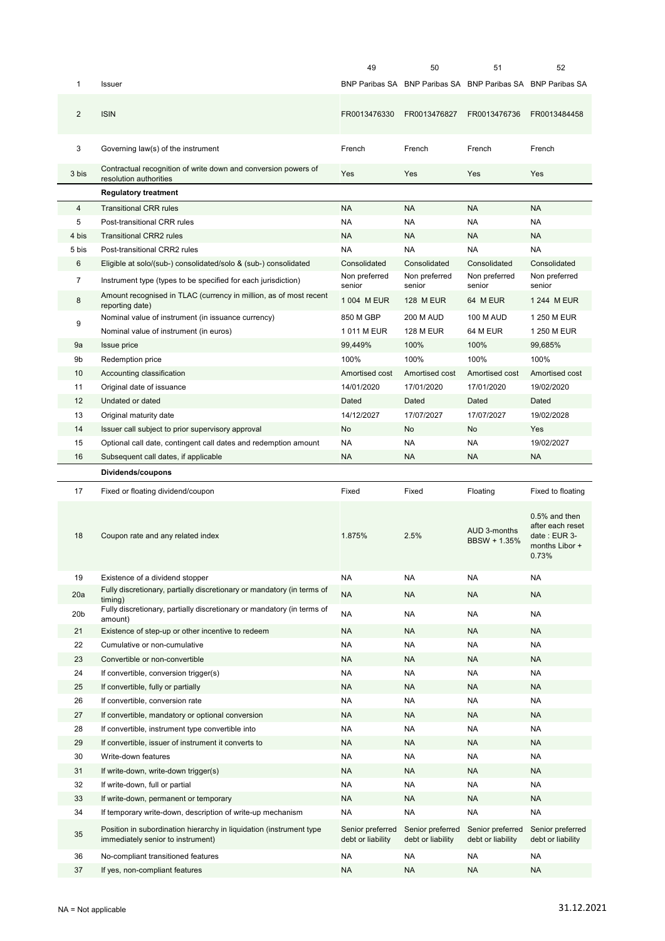|                 |                                                                                                          | 49                                    | 50                                    | 51                                                          | 52                                                                             |
|-----------------|----------------------------------------------------------------------------------------------------------|---------------------------------------|---------------------------------------|-------------------------------------------------------------|--------------------------------------------------------------------------------|
| 1               | Issuer                                                                                                   |                                       |                                       | BNP Paribas SA BNP Paribas SA BNP Paribas SA BNP Paribas SA |                                                                                |
| $\overline{2}$  | <b>ISIN</b>                                                                                              | FR0013476330                          | FR0013476827                          | FR0013476736                                                | FR0013484458                                                                   |
| 3               | Governing law(s) of the instrument                                                                       | French                                | French                                | French                                                      | French                                                                         |
| 3 bis           | Contractual recognition of write down and conversion powers of<br>resolution authorities                 | Yes                                   | Yes                                   | Yes                                                         | Yes                                                                            |
|                 | <b>Regulatory treatment</b>                                                                              |                                       |                                       |                                                             |                                                                                |
| $\overline{4}$  | <b>Transitional CRR rules</b>                                                                            | <b>NA</b>                             | <b>NA</b>                             | <b>NA</b>                                                   | <b>NA</b>                                                                      |
| 5               | Post-transitional CRR rules                                                                              | <b>NA</b>                             | <b>NA</b>                             | NA                                                          | <b>NA</b>                                                                      |
| 4 bis           | <b>Transitional CRR2 rules</b>                                                                           | <b>NA</b>                             | <b>NA</b>                             | <b>NA</b>                                                   | <b>NA</b>                                                                      |
| 5 bis           | Post-transitional CRR2 rules                                                                             | <b>NA</b>                             | <b>NA</b>                             | NA                                                          | <b>NA</b>                                                                      |
| 6               | Eligible at solo/(sub-) consolidated/solo & (sub-) consolidated                                          | Consolidated                          | Consolidated                          | Consolidated                                                | Consolidated                                                                   |
| $\overline{7}$  | Instrument type (types to be specified for each jurisdiction)                                            | Non preferred<br>senior               | Non preferred<br>senior               | Non preferred<br>senior                                     | Non preferred<br>senior                                                        |
| 8               | Amount recognised in TLAC (currency in million, as of most recent<br>reporting date)                     | 1 004 M EUR                           | <b>128 M EUR</b>                      | 64 M EUR                                                    | 1 244 M EUR                                                                    |
| 9               | Nominal value of instrument (in issuance currency)                                                       | 850 M GBP                             | <b>200 M AUD</b>                      | <b>100 M AUD</b>                                            | 1 250 M EUR                                                                    |
|                 | Nominal value of instrument (in euros)                                                                   | 1011 M EUR                            | <b>128 M EUR</b>                      | 64 M EUR                                                    | 1 250 M EUR                                                                    |
| 9a              | Issue price                                                                                              | 99,449%                               | 100%                                  | 100%                                                        | 99,685%                                                                        |
| 9b              | Redemption price                                                                                         | 100%                                  | 100%                                  | 100%                                                        | 100%                                                                           |
| 10              | Accounting classification                                                                                | Amortised cost                        | Amortised cost                        | Amortised cost                                              | Amortised cost                                                                 |
| 11              | Original date of issuance                                                                                | 14/01/2020                            | 17/01/2020                            | 17/01/2020                                                  | 19/02/2020                                                                     |
| 12              | Undated or dated                                                                                         | Dated                                 | Dated                                 | Dated                                                       | Dated                                                                          |
| 13              | Original maturity date                                                                                   | 14/12/2027                            | 17/07/2027                            | 17/07/2027                                                  | 19/02/2028                                                                     |
| 14              | Issuer call subject to prior supervisory approval                                                        | No                                    | No                                    | No                                                          | Yes                                                                            |
| 15              | Optional call date, contingent call dates and redemption amount                                          | <b>NA</b>                             | <b>NA</b>                             | <b>NA</b>                                                   | 19/02/2027                                                                     |
| 16              | Subsequent call dates, if applicable                                                                     | <b>NA</b>                             | <b>NA</b>                             | <b>NA</b>                                                   | <b>NA</b>                                                                      |
|                 |                                                                                                          |                                       |                                       |                                                             |                                                                                |
|                 | Dividends/coupons                                                                                        |                                       |                                       |                                                             |                                                                                |
| 17              | Fixed or floating dividend/coupon                                                                        | Fixed                                 | Fixed                                 | Floating                                                    | Fixed to floating                                                              |
| 18              | Coupon rate and any related index                                                                        | 1.875%                                | 2.5%                                  | AUD 3-months<br>BBSW + 1.35%                                | $0.5%$ and then<br>after each reset<br>date: EUR 3-<br>months Libor +<br>0.73% |
| 19              | Existence of a dividend stopper                                                                          | <b>NA</b>                             | <b>NA</b>                             | <b>NA</b>                                                   | <b>NA</b>                                                                      |
| 20a             | Fully discretionary, partially discretionary or mandatory (in terms of                                   | <b>NA</b>                             | NA                                    | NA                                                          | <b>NA</b>                                                                      |
|                 | timing)<br>Fully discretionary, partially discretionary or mandatory (in terms of                        |                                       |                                       |                                                             |                                                                                |
| 20 <sub>b</sub> | amount)                                                                                                  | <b>NA</b>                             | <b>NA</b>                             | NA                                                          | <b>NA</b>                                                                      |
| 21              | Existence of step-up or other incentive to redeem                                                        | <b>NA</b>                             | <b>NA</b>                             | <b>NA</b>                                                   | <b>NA</b>                                                                      |
| 22              | Cumulative or non-cumulative                                                                             | <b>NA</b>                             | NA                                    | NA                                                          | <b>NA</b>                                                                      |
| 23              | Convertible or non-convertible                                                                           | <b>NA</b>                             | <b>NA</b>                             | <b>NA</b>                                                   | <b>NA</b>                                                                      |
| 24              | If convertible, conversion trigger(s)                                                                    | <b>NA</b>                             | NA                                    | NA                                                          | <b>NA</b>                                                                      |
| 25              | If convertible, fully or partially                                                                       | <b>NA</b>                             | <b>NA</b>                             | <b>NA</b>                                                   | <b>NA</b>                                                                      |
| 26              | If convertible, conversion rate                                                                          | <b>NA</b>                             | NA                                    | <b>NA</b>                                                   | <b>NA</b>                                                                      |
| 27              | If convertible, mandatory or optional conversion                                                         | <b>NA</b>                             | <b>NA</b>                             | <b>NA</b>                                                   | <b>NA</b>                                                                      |
| 28              | If convertible, instrument type convertible into                                                         | <b>NA</b>                             | NA                                    | NA                                                          | NA                                                                             |
| 29              | If convertible, issuer of instrument it converts to                                                      | <b>NA</b>                             | <b>NA</b>                             | <b>NA</b>                                                   | <b>NA</b>                                                                      |
| 30              | Write-down features                                                                                      | <b>NA</b>                             | <b>NA</b>                             | NA                                                          | <b>NA</b>                                                                      |
| 31              | If write-down, write-down trigger(s)                                                                     | <b>NA</b>                             | <b>NA</b>                             | <b>NA</b>                                                   | <b>NA</b>                                                                      |
| 32              | If write-down, full or partial                                                                           | <b>NA</b>                             | <b>NA</b>                             | <b>NA</b>                                                   | <b>NA</b>                                                                      |
| 33              | If write-down, permanent or temporary                                                                    | <b>NA</b>                             | <b>NA</b>                             | <b>NA</b>                                                   | <b>NA</b>                                                                      |
| 34              | If temporary write-down, description of write-up mechanism                                               | <b>NA</b>                             | <b>NA</b>                             | <b>NA</b>                                                   | <b>NA</b>                                                                      |
| 35              | Position in subordination hierarchy in liquidation (instrument type<br>immediately senior to instrument) | Senior preferred<br>debt or liability | Senior preferred<br>debt or liability | Senior preferred<br>debt or liability                       | Senior preferred<br>debt or liability                                          |
| 36              | No-compliant transitioned features                                                                       | <b>NA</b>                             | NA                                    | NA                                                          | <b>NA</b>                                                                      |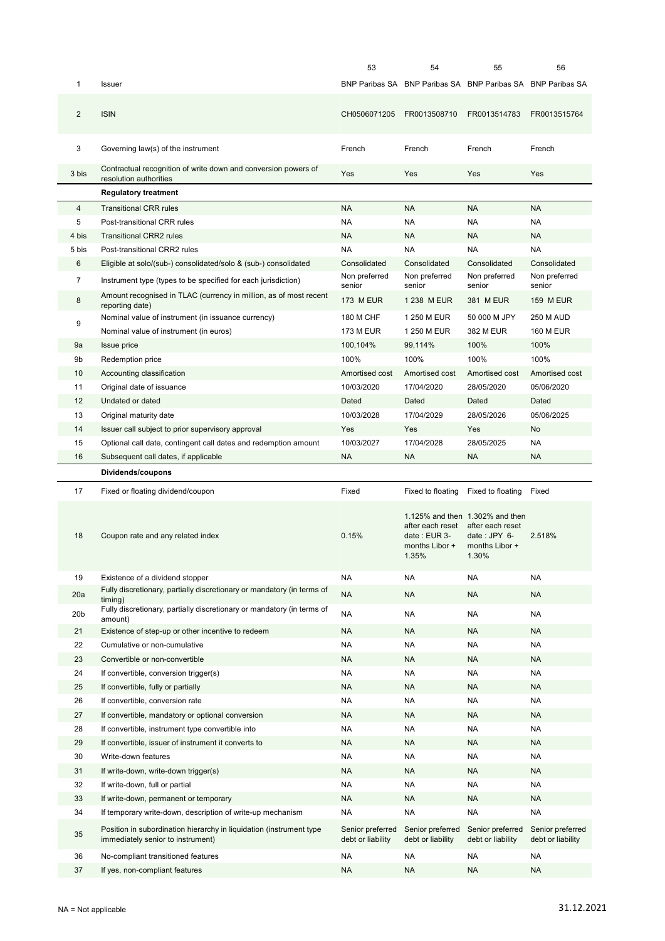|                 |                                                                                                                                    | 53                                    | 54                                                          | 55                                                                                               | 56                                    |
|-----------------|------------------------------------------------------------------------------------------------------------------------------------|---------------------------------------|-------------------------------------------------------------|--------------------------------------------------------------------------------------------------|---------------------------------------|
| 1               | <b>Issuer</b>                                                                                                                      |                                       | BNP Paribas SA BNP Paribas SA BNP Paribas SA BNP Paribas SA |                                                                                                  |                                       |
| $\overline{2}$  | <b>ISIN</b>                                                                                                                        | CH0506071205                          | FR0013508710                                                | FR0013514783                                                                                     | FR0013515764                          |
| 3               | Governing law(s) of the instrument                                                                                                 | French                                | French                                                      | French                                                                                           | French                                |
| 3 bis           | Contractual recognition of write down and conversion powers of<br>resolution authorities                                           | Yes                                   | Yes                                                         | Yes                                                                                              | Yes                                   |
|                 | <b>Regulatory treatment</b>                                                                                                        |                                       |                                                             |                                                                                                  |                                       |
| $\overline{4}$  | <b>Transitional CRR rules</b>                                                                                                      | <b>NA</b>                             | <b>NA</b>                                                   | <b>NA</b>                                                                                        | <b>NA</b>                             |
| 5               | Post-transitional CRR rules                                                                                                        | <b>NA</b>                             | NA                                                          | <b>NA</b>                                                                                        | <b>NA</b>                             |
| 4 bis           | <b>Transitional CRR2 rules</b>                                                                                                     | <b>NA</b>                             | <b>NA</b>                                                   | <b>NA</b>                                                                                        | <b>NA</b>                             |
| 5 bis           | Post-transitional CRR2 rules                                                                                                       | <b>NA</b>                             | <b>NA</b>                                                   | <b>NA</b>                                                                                        | <b>NA</b>                             |
| 6               |                                                                                                                                    | Consolidated                          | Consolidated                                                | Consolidated                                                                                     | Consolidated                          |
|                 | Eligible at solo/(sub-) consolidated/solo & (sub-) consolidated                                                                    | Non preferred                         | Non preferred                                               | Non preferred                                                                                    | Non preferred                         |
| 7               | Instrument type (types to be specified for each jurisdiction)<br>Amount recognised in TLAC (currency in million, as of most recent | senior                                | senior                                                      | senior                                                                                           | senior                                |
| 8               | reporting date)                                                                                                                    | <b>173 M EUR</b>                      | 1 238 M EUR                                                 | 381 M EUR                                                                                        | <b>159 M EUR</b>                      |
| 9               | Nominal value of instrument (in issuance currency)                                                                                 | 180 M CHF                             | 1 250 M EUR                                                 | 50 000 M JPY                                                                                     | <b>250 M AUD</b>                      |
|                 | Nominal value of instrument (in euros)                                                                                             | <b>173 M EUR</b>                      | 1 250 M EUR                                                 | 382 M EUR                                                                                        | <b>160 M EUR</b>                      |
| 9a              | <b>Issue price</b>                                                                                                                 | 100,104%                              | 99,114%                                                     | 100%                                                                                             | 100%                                  |
| 9b              | Redemption price                                                                                                                   | 100%                                  | 100%                                                        | 100%                                                                                             | 100%                                  |
| 10              | Accounting classification                                                                                                          | Amortised cost                        | Amortised cost                                              | Amortised cost                                                                                   | Amortised cost                        |
| 11              | Original date of issuance                                                                                                          | 10/03/2020                            | 17/04/2020                                                  | 28/05/2020                                                                                       | 05/06/2020                            |
| 12              | Undated or dated                                                                                                                   | Dated                                 | Dated                                                       | Dated                                                                                            | Dated                                 |
| 13              | Original maturity date                                                                                                             | 10/03/2028                            | 17/04/2029                                                  | 28/05/2026                                                                                       | 05/06/2025                            |
| 14              | Issuer call subject to prior supervisory approval                                                                                  | Yes                                   | Yes                                                         | Yes                                                                                              | <b>No</b>                             |
| 15              | Optional call date, contingent call dates and redemption amount                                                                    | 10/03/2027                            | 17/04/2028                                                  | 28/05/2025                                                                                       | <b>NA</b>                             |
| 16              | Subsequent call dates, if applicable                                                                                               | <b>NA</b>                             | <b>NA</b>                                                   | <b>NA</b>                                                                                        | <b>NA</b>                             |
|                 |                                                                                                                                    |                                       |                                                             |                                                                                                  |                                       |
|                 |                                                                                                                                    |                                       |                                                             |                                                                                                  |                                       |
|                 | Dividends/coupons                                                                                                                  |                                       |                                                             |                                                                                                  |                                       |
| 17              | Fixed or floating dividend/coupon                                                                                                  | Fixed                                 | Fixed to floating                                           | Fixed to floating                                                                                | Fixed                                 |
| 18              | Coupon rate and any related index                                                                                                  | 0.15%                                 | after each reset<br>date: EUR 3-<br>months Libor +<br>1.35% | 1.125% and then 1.302% and then<br>after each reset<br>date: $JPY$ 6-<br>months Libor +<br>1.30% | 2.518%                                |
| 19              | Existence of a dividend stopper                                                                                                    | NA                                    | NA                                                          | <b>NA</b>                                                                                        | <b>NA</b>                             |
| 20a             | Fully discretionary, partially discretionary or mandatory (in terms of                                                             |                                       |                                                             |                                                                                                  |                                       |
|                 | timina)<br>Fully discretionary, partially discretionary or mandatory (in terms of                                                  | <b>NA</b>                             | <b>NA</b>                                                   | <b>NA</b>                                                                                        | <b>NA</b>                             |
| 20 <sub>b</sub> | amount)                                                                                                                            | <b>NA</b>                             | NA                                                          | <b>NA</b>                                                                                        | <b>NA</b>                             |
| 21              | Existence of step-up or other incentive to redeem                                                                                  | <b>NA</b>                             | <b>NA</b>                                                   | <b>NA</b>                                                                                        | <b>NA</b>                             |
| 22              | Cumulative or non-cumulative                                                                                                       | <b>NA</b>                             | NA                                                          | <b>NA</b>                                                                                        | <b>NA</b>                             |
| 23              | Convertible or non-convertible                                                                                                     | <b>NA</b>                             | <b>NA</b>                                                   | <b>NA</b>                                                                                        | <b>NA</b>                             |
| 24              | If convertible, conversion trigger(s)                                                                                              | <b>NA</b>                             | NA                                                          | <b>NA</b>                                                                                        | <b>NA</b>                             |
| 25              | If convertible, fully or partially                                                                                                 | <b>NA</b>                             | <b>NA</b>                                                   | <b>NA</b>                                                                                        | <b>NA</b>                             |
| 26              | If convertible, conversion rate                                                                                                    | <b>NA</b>                             | NA                                                          | <b>NA</b>                                                                                        | <b>NA</b>                             |
| 27              | If convertible, mandatory or optional conversion                                                                                   | <b>NA</b>                             | <b>NA</b>                                                   | <b>NA</b>                                                                                        | <b>NA</b>                             |
| 28              | If convertible, instrument type convertible into                                                                                   | <b>NA</b>                             | NA                                                          | <b>NA</b>                                                                                        | <b>NA</b>                             |
| 29              | If convertible, issuer of instrument it converts to                                                                                | <b>NA</b>                             | <b>NA</b>                                                   | <b>NA</b>                                                                                        | <b>NA</b>                             |
| 30              | Write-down features                                                                                                                | <b>NA</b>                             | NA                                                          | <b>NA</b>                                                                                        | NA                                    |
| 31              | If write-down, write-down trigger(s)                                                                                               | <b>NA</b>                             | NA                                                          | <b>NA</b>                                                                                        | <b>NA</b>                             |
|                 |                                                                                                                                    |                                       |                                                             |                                                                                                  |                                       |
| 32              | If write-down, full or partial                                                                                                     | <b>NA</b>                             | NA                                                          | <b>NA</b>                                                                                        | NA                                    |
| 33              | If write-down, permanent or temporary                                                                                              | <b>NA</b>                             | <b>NA</b>                                                   | <b>NA</b>                                                                                        | <b>NA</b>                             |
| 34              | If temporary write-down, description of write-up mechanism                                                                         | <b>NA</b>                             | NA                                                          | <b>NA</b>                                                                                        | <b>NA</b>                             |
| 35              | Position in subordination hierarchy in liquidation (instrument type<br>immediately senior to instrument)                           | Senior preferred<br>debt or liability | Senior preferred<br>debt or liability                       | Senior preferred<br>debt or liability                                                            | Senior preferred<br>debt or liability |
| 36              | No-compliant transitioned features                                                                                                 | <b>NA</b>                             | NA                                                          | <b>NA</b>                                                                                        | <b>NA</b>                             |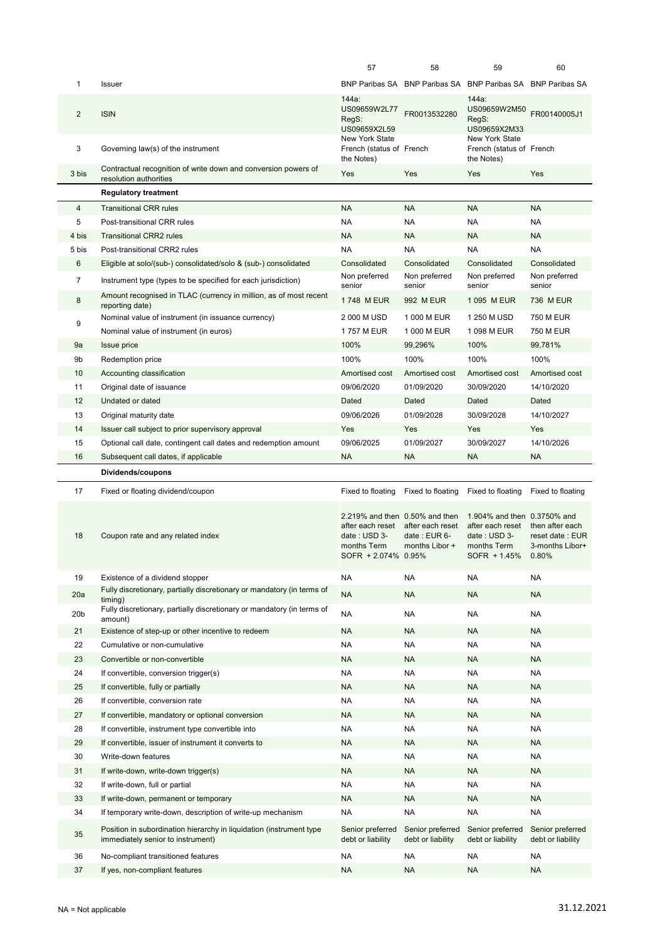|                 |                                                                                                          | 57                                                                                      | 58                                    | 59                                                       | 60                                                    |
|-----------------|----------------------------------------------------------------------------------------------------------|-----------------------------------------------------------------------------------------|---------------------------------------|----------------------------------------------------------|-------------------------------------------------------|
| 1               | Issuer                                                                                                   |                                                                                         | BNP Paribas SA BNP Paribas SA         | BNP Paribas SA BNP Paribas SA                            |                                                       |
| $\overline{2}$  | <b>ISIN</b>                                                                                              | 144a:<br>US09659W2L77<br>RegS:<br>US09659X2L59                                          | FR0013532280                          | 144a:<br>US09659W2M50<br>RegS:<br>US09659X2M33           | FR00140005J1                                          |
| 3               | Governing law(s) of the instrument                                                                       | New York State<br>French (status of French<br>the Notes)                                |                                       | New York State<br>French (status of French<br>the Notes) |                                                       |
| 3 bis           | Contractual recognition of write down and conversion powers of<br>resolution authorities                 | Yes                                                                                     | Yes                                   | Yes                                                      | Yes                                                   |
|                 | <b>Regulatory treatment</b>                                                                              |                                                                                         |                                       |                                                          |                                                       |
| 4               | <b>Transitional CRR rules</b>                                                                            | <b>NA</b>                                                                               | <b>NA</b>                             | <b>NA</b>                                                | <b>NA</b>                                             |
| 5               | Post-transitional CRR rules                                                                              | <b>NA</b>                                                                               | <b>NA</b>                             | <b>NA</b>                                                | <b>NA</b>                                             |
| 4 bis           | <b>Transitional CRR2 rules</b>                                                                           | <b>NA</b>                                                                               | <b>NA</b>                             | <b>NA</b>                                                | <b>NA</b>                                             |
| 5 bis           | Post-transitional CRR2 rules                                                                             | <b>NA</b>                                                                               | <b>NA</b>                             | <b>NA</b>                                                | <b>NA</b>                                             |
| 6               | Eligible at solo/(sub-) consolidated/solo & (sub-) consolidated                                          | Consolidated                                                                            | Consolidated                          | Consolidated                                             | Consolidated                                          |
| 7               | Instrument type (types to be specified for each jurisdiction)                                            | Non preferred<br>senior                                                                 | Non preferred<br>senior               | Non preferred<br>senior                                  | Non preferred<br>senior                               |
| 8               | Amount recognised in TLAC (currency in million, as of most recent<br>reporting date)                     | 1748 M EUR                                                                              | 992 M EUR                             | 1 095 M EUR                                              | 736 M EUR                                             |
| 9               | Nominal value of instrument (in issuance currency)                                                       | 2 000 M USD                                                                             | 1 000 M EUR                           | 1 250 M USD                                              | 750 M EUR                                             |
|                 | Nominal value of instrument (in euros)                                                                   | 1757 M EUR                                                                              | 1 000 M EUR                           | 1 098 M EUR                                              | 750 M EUR                                             |
| 9a              | <b>Issue price</b>                                                                                       | 100%                                                                                    | 99,296%                               | 100%                                                     | 99,781%                                               |
| 9b              | Redemption price                                                                                         | 100%                                                                                    | 100%                                  | 100%                                                     | 100%                                                  |
| 10              | Accounting classification                                                                                | Amortised cost                                                                          | Amortised cost                        | Amortised cost                                           | Amortised cost                                        |
| 11              | Original date of issuance                                                                                | 09/06/2020                                                                              | 01/09/2020                            | 30/09/2020                                               | 14/10/2020                                            |
| 12              | Undated or dated                                                                                         | Dated                                                                                   | Dated                                 | Dated                                                    | Dated                                                 |
| 13              | Original maturity date                                                                                   | 09/06/2026                                                                              | 01/09/2028                            | 30/09/2028                                               | 14/10/2027                                            |
| 14              | Issuer call subject to prior supervisory approval                                                        | Yes                                                                                     | Yes                                   | Yes                                                      | Yes                                                   |
| 15<br>16        | Optional call date, contingent call dates and redemption amount                                          | 09/06/2025<br><b>NA</b>                                                                 | 01/09/2027<br><b>NA</b>               | 30/09/2027<br><b>NA</b>                                  | 14/10/2026<br><b>NA</b>                               |
|                 | Subsequent call dates, if applicable                                                                     |                                                                                         |                                       |                                                          |                                                       |
|                 | Dividends/coupons                                                                                        |                                                                                         |                                       |                                                          |                                                       |
| 17              | Fixed or floating dividend/coupon                                                                        | Fixed to floating                                                                       | Fixed to floating                     | Fixed to floating Fixed to floating                      |                                                       |
|                 |                                                                                                          | 2.219% and then 0.50% and then                                                          |                                       | 1.904% and then 0.3750% and<br>after each reset          |                                                       |
| 18              | Coupon rate and any related index                                                                        | after each reset after each reset<br>date: USD 3-<br>months Term<br>SOFR + 2.074% 0.95% | date: EUR 6-<br>months Libor +        | date: USD 3-<br>months Term<br>SOFR + 1.45% 0.80%        | then after each<br>reset date: EUR<br>3-months Libor+ |
| 19              | Existence of a dividend stopper                                                                          | <b>NA</b>                                                                               | <b>NA</b>                             | <b>NA</b>                                                | <b>NA</b>                                             |
| 20a             | Fully discretionary, partially discretionary or mandatory (in terms of                                   | <b>NA</b>                                                                               | <b>NA</b>                             | <b>NA</b>                                                | <b>NA</b>                                             |
| 20 <sub>b</sub> | timing)<br>Fully discretionary, partially discretionary or mandatory (in terms of                        | <b>NA</b>                                                                               | <b>NA</b>                             | <b>NA</b>                                                | <b>NA</b>                                             |
|                 | amount)<br>Existence of step-up or other incentive to redeem                                             | <b>NA</b>                                                                               | <b>NA</b>                             | <b>NA</b>                                                | <b>NA</b>                                             |
| 21<br>22        | Cumulative or non-cumulative                                                                             | <b>NA</b>                                                                               | NA                                    | <b>NA</b>                                                | NA                                                    |
| 23              | Convertible or non-convertible                                                                           | <b>NA</b>                                                                               | <b>NA</b>                             | <b>NA</b>                                                | <b>NA</b>                                             |
| 24              | If convertible, conversion trigger(s)                                                                    | <b>NA</b>                                                                               | NA                                    | <b>NA</b>                                                | <b>NA</b>                                             |
| 25              | If convertible, fully or partially                                                                       | <b>NA</b>                                                                               | <b>NA</b>                             | <b>NA</b>                                                | <b>NA</b>                                             |
| 26              | If convertible, conversion rate                                                                          | <b>NA</b>                                                                               | <b>NA</b>                             | <b>NA</b>                                                | <b>NA</b>                                             |
| 27              | If convertible, mandatory or optional conversion                                                         | <b>NA</b>                                                                               | <b>NA</b>                             | <b>NA</b>                                                | <b>NA</b>                                             |
| 28              | If convertible, instrument type convertible into                                                         | <b>NA</b>                                                                               | <b>NA</b>                             | <b>NA</b>                                                | <b>NA</b>                                             |
| 29              | If convertible, issuer of instrument it converts to                                                      | <b>NA</b>                                                                               | <b>NA</b>                             | <b>NA</b>                                                | <b>NA</b>                                             |
| 30              | Write-down features                                                                                      | <b>NA</b>                                                                               | <b>NA</b>                             | <b>NA</b>                                                | <b>NA</b>                                             |
| 31              | If write-down, write-down trigger(s)                                                                     | <b>NA</b>                                                                               | <b>NA</b>                             | <b>NA</b>                                                | <b>NA</b>                                             |
| 32              | If write-down, full or partial                                                                           | <b>NA</b>                                                                               | NA                                    | <b>NA</b>                                                | NA                                                    |
| 33              | If write-down, permanent or temporary                                                                    | <b>NA</b>                                                                               | <b>NA</b>                             | <b>NA</b>                                                | <b>NA</b>                                             |
| 34              | If temporary write-down, description of write-up mechanism                                               | <b>NA</b>                                                                               | <b>NA</b>                             | <b>NA</b>                                                | <b>NA</b>                                             |
| 35              | Position in subordination hierarchy in liquidation (instrument type<br>immediately senior to instrument) | Senior preferred<br>debt or liability                                                   | Senior preferred<br>debt or liability | Senior preferred<br>debt or liability                    | Senior preferred<br>debt or liability                 |
| 36              | No-compliant transitioned features                                                                       | <b>NA</b>                                                                               | <b>NA</b>                             | <b>NA</b>                                                | NA                                                    |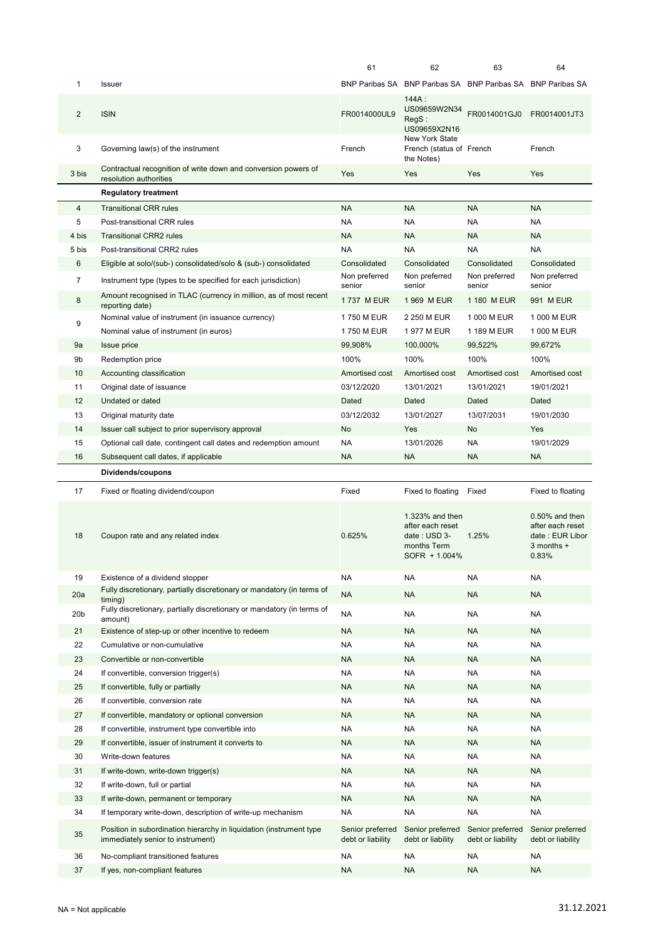|                 |                                                                                                          | 61                                    | 62                                                                                  | 63                                    | 64                                                                              |
|-----------------|----------------------------------------------------------------------------------------------------------|---------------------------------------|-------------------------------------------------------------------------------------|---------------------------------------|---------------------------------------------------------------------------------|
| 1               | <b>Issuer</b>                                                                                            |                                       | BNP Paribas SA BNP Paribas SA BNP Paribas SA BNP Paribas SA                         |                                       |                                                                                 |
| $\overline{2}$  | <b>ISIN</b>                                                                                              | FR0014000UL9                          | $144A$ :<br>US09659W2N34<br>RegS:<br>US09659X2N16                                   | FR0014001GJ0                          | FR0014001JT3                                                                    |
| 3               | Governing law(s) of the instrument                                                                       | French                                | New York State<br>French (status of French<br>the Notes)                            |                                       | French                                                                          |
| 3 bis           | Contractual recognition of write down and conversion powers of<br>resolution authorities                 | Yes                                   | Yes                                                                                 | Yes                                   | Yes                                                                             |
|                 | <b>Regulatory treatment</b>                                                                              |                                       |                                                                                     |                                       |                                                                                 |
| $\overline{4}$  | <b>Transitional CRR rules</b>                                                                            | <b>NA</b>                             | <b>NA</b>                                                                           | <b>NA</b>                             | <b>NA</b>                                                                       |
| 5               | Post-transitional CRR rules                                                                              | <b>NA</b>                             | <b>NA</b>                                                                           | <b>NA</b>                             | <b>NA</b>                                                                       |
| 4 bis           | <b>Transitional CRR2 rules</b>                                                                           | <b>NA</b>                             | <b>NA</b>                                                                           | <b>NA</b>                             | <b>NA</b>                                                                       |
| 5 bis           | Post-transitional CRR2 rules                                                                             | NA                                    | <b>NA</b>                                                                           | NA                                    | <b>NA</b>                                                                       |
| 6               | Eligible at solo/(sub-) consolidated/solo & (sub-) consolidated                                          | Consolidated                          | Consolidated                                                                        | Consolidated                          | Consolidated                                                                    |
| 7               | Instrument type (types to be specified for each jurisdiction)                                            | Non preferred<br>senior               | Non preferred<br>senior                                                             | Non preferred<br>senior               | Non preferred<br>senior                                                         |
| 8               | Amount recognised in TLAC (currency in million, as of most recent<br>reporting date)                     | 1737 M EUR                            | 1 969 M EUR                                                                         | 1 180 M EUR                           | 991 M EUR                                                                       |
| 9               | Nominal value of instrument (in issuance currency)                                                       | 1750 M EUR                            | 2 250 M EUR                                                                         | 1 000 M EUR                           | 1 000 M EUR                                                                     |
|                 | Nominal value of instrument (in euros)                                                                   | 1750 M EUR                            | 1977 M EUR                                                                          | 1 189 M EUR                           | 1 000 M EUR                                                                     |
| 9a              | <b>Issue price</b>                                                                                       | 99,908%                               | 100,000%                                                                            | 99,522%                               | 99,672%                                                                         |
| 9b              | Redemption price                                                                                         | 100%                                  | 100%                                                                                | 100%                                  | 100%                                                                            |
| 10              | Accounting classification                                                                                | Amortised cost                        | Amortised cost                                                                      | Amortised cost                        | Amortised cost                                                                  |
| 11              | Original date of issuance                                                                                | 03/12/2020                            | 13/01/2021                                                                          | 13/01/2021                            | 19/01/2021                                                                      |
| 12              | Undated or dated                                                                                         | Dated                                 | Dated                                                                               | Dated                                 | Dated                                                                           |
| 13              | Original maturity date                                                                                   | 03/12/2032                            | 13/01/2027                                                                          | 13/07/2031                            | 19/01/2030                                                                      |
| 14              | Issuer call subject to prior supervisory approval                                                        | No                                    | Yes                                                                                 | No                                    | Yes                                                                             |
| 15              | Optional call date, contingent call dates and redemption amount                                          | <b>NA</b>                             | 13/01/2026                                                                          | <b>NA</b>                             | 19/01/2029                                                                      |
| 16              | Subsequent call dates, if applicable                                                                     | <b>NA</b>                             | <b>NA</b>                                                                           | <b>NA</b>                             | <b>NA</b>                                                                       |
|                 |                                                                                                          |                                       |                                                                                     |                                       |                                                                                 |
|                 | Dividends/coupons                                                                                        |                                       |                                                                                     |                                       |                                                                                 |
| 17              | Fixed or floating dividend/coupon                                                                        | Fixed                                 | Fixed to floating                                                                   | Fixed                                 | Fixed to floating                                                               |
| 18              | Coupon rate and any related index                                                                        | 0.625%                                | 1.323% and then<br>after each reset<br>date: USD 3-<br>months Term<br>SOFR + 1.004% | 1.25%                                 | $0.50\%$ and then<br>after each reset<br>date: EUR Libor<br>3 months +<br>0.83% |
| 19              | Existence of a dividend stopper                                                                          | NA                                    | NA                                                                                  | NA                                    | NA                                                                              |
| 20a             | Fully discretionary, partially discretionary or mandatory (in terms of                                   | <b>NA</b>                             | <b>NA</b>                                                                           | <b>NA</b>                             | <b>NA</b>                                                                       |
| 20 <sub>b</sub> | timing)<br>Fully discretionary, partially discretionary or mandatory (in terms of                        | <b>NA</b>                             | <b>NA</b>                                                                           | NA                                    | NA                                                                              |
|                 | amount)                                                                                                  |                                       |                                                                                     |                                       |                                                                                 |
| 21              | Existence of step-up or other incentive to redeem                                                        | <b>NA</b>                             | <b>NA</b>                                                                           | NA                                    | <b>NA</b>                                                                       |
| 22              | Cumulative or non-cumulative                                                                             | NA                                    | <b>NA</b>                                                                           | NA                                    | NA                                                                              |
| 23              | Convertible or non-convertible                                                                           | <b>NA</b>                             | <b>NA</b>                                                                           | NA                                    | <b>NA</b>                                                                       |
| 24              | If convertible, conversion trigger(s)                                                                    | NA                                    | <b>NA</b>                                                                           | NA                                    | NA                                                                              |
| 25              | If convertible, fully or partially                                                                       | <b>NA</b>                             | <b>NA</b>                                                                           | <b>NA</b>                             | <b>NA</b>                                                                       |
| 26<br>27        | If convertible, conversion rate<br>If convertible, mandatory or optional conversion                      | NA<br><b>NA</b>                       | <b>NA</b><br><b>NA</b>                                                              | NA<br>NA                              | <b>NA</b><br><b>NA</b>                                                          |
| 28              | If convertible, instrument type convertible into                                                         | NA                                    | NA                                                                                  | NA                                    | NA                                                                              |
| 29              |                                                                                                          | <b>NA</b>                             | <b>NA</b>                                                                           | <b>NA</b>                             | <b>NA</b>                                                                       |
| 30              | If convertible, issuer of instrument it converts to<br>Write-down features                               | NA                                    | <b>NA</b>                                                                           | NA                                    | <b>NA</b>                                                                       |
| 31              | If write-down, write-down trigger(s)                                                                     | <b>NA</b>                             | <b>NA</b>                                                                           | <b>NA</b>                             | <b>NA</b>                                                                       |
| 32              | If write-down, full or partial                                                                           | <b>NA</b>                             | <b>NA</b>                                                                           | <b>NA</b>                             | <b>NA</b>                                                                       |
| 33              | If write-down, permanent or temporary                                                                    | <b>NA</b>                             | <b>NA</b>                                                                           | <b>NA</b>                             | <b>NA</b>                                                                       |
| 34              | If temporary write-down, description of write-up mechanism                                               | NA                                    | <b>NA</b>                                                                           | NA                                    | NA                                                                              |
| 35              | Position in subordination hierarchy in liquidation (instrument type<br>immediately senior to instrument) | Senior preferred<br>debt or liability | Senior preferred<br>debt or liability                                               | Senior preferred<br>debt or liability | Senior preferred<br>debt or liability                                           |
| 36              | No-compliant transitioned features                                                                       | NA                                    | <b>NA</b>                                                                           | NA                                    | <b>NA</b>                                                                       |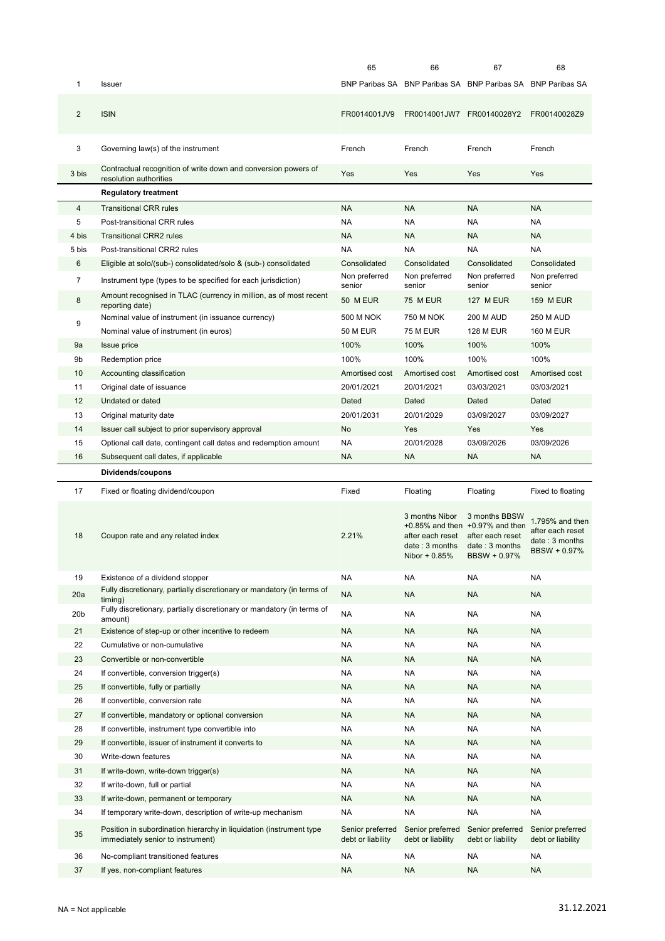|                 |                                                                                                          | 65                                    | 66                                                                               | 67                                                                                                                      | 68                                                                                        |
|-----------------|----------------------------------------------------------------------------------------------------------|---------------------------------------|----------------------------------------------------------------------------------|-------------------------------------------------------------------------------------------------------------------------|-------------------------------------------------------------------------------------------|
| 1               | Issuer                                                                                                   |                                       | BNP Paribas SA BNP Paribas SA BNP Paribas SA BNP Paribas SA                      |                                                                                                                         |                                                                                           |
| $\overline{2}$  | <b>ISIN</b>                                                                                              | FR0014001JV9                          |                                                                                  | FR0014001JW7 FR00140028Y2 FR00140028Z9                                                                                  |                                                                                           |
| 3               | Governing law(s) of the instrument                                                                       | French                                | French                                                                           | French                                                                                                                  | French                                                                                    |
| 3 bis           | Contractual recognition of write down and conversion powers of<br>resolution authorities                 | Yes                                   | Yes                                                                              | Yes                                                                                                                     | Yes                                                                                       |
|                 | <b>Regulatory treatment</b>                                                                              |                                       |                                                                                  |                                                                                                                         |                                                                                           |
| $\overline{4}$  | <b>Transitional CRR rules</b>                                                                            | <b>NA</b>                             | <b>NA</b>                                                                        | <b>NA</b>                                                                                                               | <b>NA</b>                                                                                 |
| 5               | Post-transitional CRR rules                                                                              | <b>NA</b>                             | <b>NA</b>                                                                        | NA                                                                                                                      | <b>NA</b>                                                                                 |
| 4 bis           | <b>Transitional CRR2 rules</b>                                                                           | <b>NA</b>                             | <b>NA</b>                                                                        | <b>NA</b>                                                                                                               | <b>NA</b>                                                                                 |
| 5 bis           | Post-transitional CRR2 rules                                                                             | <b>NA</b>                             | <b>NA</b>                                                                        | NA                                                                                                                      | <b>NA</b>                                                                                 |
| 6               | Eligible at solo/(sub-) consolidated/solo & (sub-) consolidated                                          | Consolidated                          | Consolidated                                                                     | Consolidated                                                                                                            | Consolidated                                                                              |
| $\overline{7}$  | Instrument type (types to be specified for each jurisdiction)                                            | Non preferred<br>senior               | Non preferred<br>senior                                                          | Non preferred<br>senior                                                                                                 | Non preferred<br>senior                                                                   |
| 8               | Amount recognised in TLAC (currency in million, as of most recent<br>reporting date)                     | 50 M EUR                              | <b>75 M EUR</b>                                                                  | <b>127 M EUR</b>                                                                                                        | <b>159 M EUR</b>                                                                          |
| 9               | Nominal value of instrument (in issuance currency)                                                       | 500 M NOK                             | 750 M NOK                                                                        | <b>200 M AUD</b>                                                                                                        | <b>250 M AUD</b>                                                                          |
|                 | Nominal value of instrument (in euros)                                                                   | <b>50 M EUR</b>                       | <b>75 M EUR</b>                                                                  | <b>128 M EUR</b>                                                                                                        | <b>160 M EUR</b>                                                                          |
| 9a              | <b>Issue price</b>                                                                                       | 100%                                  | 100%                                                                             | 100%                                                                                                                    | 100%                                                                                      |
| 9b              | Redemption price                                                                                         | 100%                                  | 100%                                                                             | 100%                                                                                                                    | 100%                                                                                      |
| 10              | Accounting classification                                                                                | Amortised cost                        | Amortised cost                                                                   | Amortised cost                                                                                                          | Amortised cost                                                                            |
| 11              | Original date of issuance                                                                                | 20/01/2021                            | 20/01/2021                                                                       | 03/03/2021                                                                                                              | 03/03/2021                                                                                |
| 12              | Undated or dated                                                                                         | Dated                                 | Dated                                                                            | Dated                                                                                                                   | Dated                                                                                     |
| 13              | Original maturity date                                                                                   | 20/01/2031                            | 20/01/2029                                                                       | 03/09/2027                                                                                                              | 03/09/2027                                                                                |
| 14              | Issuer call subject to prior supervisory approval                                                        | No                                    | Yes                                                                              | Yes                                                                                                                     | Yes                                                                                       |
| 15              | Optional call date, contingent call dates and redemption amount                                          | <b>NA</b>                             | 20/01/2028                                                                       | 03/09/2026                                                                                                              | 03/09/2026                                                                                |
| 16              | Subsequent call dates, if applicable                                                                     | <b>NA</b>                             | <b>NA</b>                                                                        | <b>NA</b>                                                                                                               | <b>NA</b>                                                                                 |
|                 |                                                                                                          |                                       |                                                                                  |                                                                                                                         |                                                                                           |
|                 | Dividends/coupons                                                                                        |                                       |                                                                                  |                                                                                                                         |                                                                                           |
|                 |                                                                                                          | Fixed                                 |                                                                                  |                                                                                                                         |                                                                                           |
| 17<br>18        | Fixed or floating dividend/coupon<br>Coupon rate and any related index                                   | 2.21%                                 | Floating<br>3 months Nibor<br>after each reset<br>date:3 months<br>Nibor + 0.85% | Floating<br>3 months BBSW<br>$+0.85\%$ and then $+0.97\%$ and then<br>after each reset<br>date:3 months<br>BBSW + 0.97% | Fixed to floating<br>1.795% and then<br>after each reset<br>date:3 months<br>BBSW + 0.97% |
| 19              | Existence of a dividend stopper                                                                          | <b>NA</b>                             | NA                                                                               | <b>NA</b>                                                                                                               | <b>NA</b>                                                                                 |
| 20a             | Fully discretionary, partially discretionary or mandatory (in terms of                                   | <b>NA</b>                             | <b>NA</b>                                                                        | <b>NA</b>                                                                                                               | <b>NA</b>                                                                                 |
| 20 <sub>b</sub> | timing)<br>Fully discretionary, partially discretionary or mandatory (in terms of                        | <b>NA</b>                             | NA                                                                               | <b>NA</b>                                                                                                               | <b>NA</b>                                                                                 |
| 21              | amount)<br>Existence of step-up or other incentive to redeem                                             | <b>NA</b>                             | NA                                                                               | <b>NA</b>                                                                                                               | <b>NA</b>                                                                                 |
| 22              | Cumulative or non-cumulative                                                                             | <b>NA</b>                             | NA                                                                               | <b>NA</b>                                                                                                               | <b>NA</b>                                                                                 |
| 23              | Convertible or non-convertible                                                                           | <b>NA</b>                             | NA                                                                               | <b>NA</b>                                                                                                               | <b>NA</b>                                                                                 |
| 24              | If convertible, conversion trigger(s)                                                                    | <b>NA</b>                             | <b>NA</b>                                                                        | <b>NA</b>                                                                                                               | <b>NA</b>                                                                                 |
| 25              | If convertible, fully or partially                                                                       | <b>NA</b>                             | <b>NA</b>                                                                        | <b>NA</b>                                                                                                               | <b>NA</b>                                                                                 |
| 26              | If convertible, conversion rate                                                                          | <b>NA</b>                             | <b>NA</b>                                                                        | <b>NA</b>                                                                                                               | <b>NA</b>                                                                                 |
| 27              | If convertible, mandatory or optional conversion                                                         | <b>NA</b>                             | <b>NA</b>                                                                        | <b>NA</b>                                                                                                               | <b>NA</b>                                                                                 |
| 28              | If convertible, instrument type convertible into                                                         | <b>NA</b>                             | NA                                                                               | NA                                                                                                                      | NA                                                                                        |
| 29              | If convertible, issuer of instrument it converts to                                                      | <b>NA</b>                             | <b>NA</b>                                                                        | <b>NA</b>                                                                                                               | <b>NA</b>                                                                                 |
| 30              | Write-down features                                                                                      | <b>NA</b>                             | NA                                                                               | <b>NA</b>                                                                                                               | <b>NA</b>                                                                                 |
| 31              | If write-down, write-down trigger(s)                                                                     | <b>NA</b>                             | <b>NA</b>                                                                        | <b>NA</b>                                                                                                               | <b>NA</b>                                                                                 |
| 32              | If write-down, full or partial                                                                           | <b>NA</b>                             | <b>NA</b>                                                                        | <b>NA</b>                                                                                                               | <b>NA</b>                                                                                 |
| 33              | If write-down, permanent or temporary                                                                    | <b>NA</b>                             | <b>NA</b>                                                                        | <b>NA</b>                                                                                                               | <b>NA</b>                                                                                 |
| 34              | If temporary write-down, description of write-up mechanism                                               | <b>NA</b>                             | <b>NA</b>                                                                        | <b>NA</b>                                                                                                               | <b>NA</b>                                                                                 |
| 35              | Position in subordination hierarchy in liquidation (instrument type<br>immediately senior to instrument) | Senior preferred<br>debt or liability | Senior preferred<br>debt or liability                                            | Senior preferred<br>debt or liability                                                                                   | Senior preferred<br>debt or liability                                                     |
| 36              | No-compliant transitioned features                                                                       | <b>NA</b>                             | NA                                                                               | <b>NA</b>                                                                                                               | NA                                                                                        |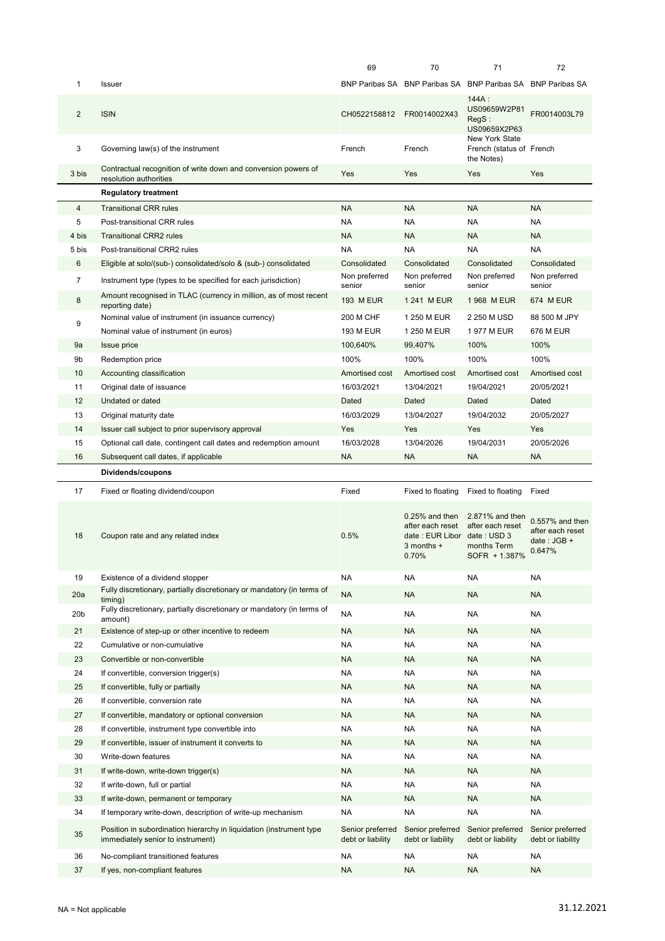|                 |                                                                                                          | 69                                    | 70                                                                                             | 71                                                                  | 72                                                           |
|-----------------|----------------------------------------------------------------------------------------------------------|---------------------------------------|------------------------------------------------------------------------------------------------|---------------------------------------------------------------------|--------------------------------------------------------------|
| 1               | Issuer                                                                                                   |                                       |                                                                                                | BNP Paribas SA BNP Paribas SA BNP Paribas SA BNP Paribas SA         |                                                              |
| $\overline{2}$  | <b>ISIN</b>                                                                                              | CH0522158812                          | FR0014002X43                                                                                   | 144A:<br>US09659W2P81<br>RegS:<br>US09659X2P63                      | FR0014003L79                                                 |
| 3               | Governing law(s) of the instrument                                                                       | French                                | French                                                                                         | New York State<br>French (status of French<br>the Notes)            |                                                              |
| 3 bis           | Contractual recognition of write down and conversion powers of<br>resolution authorities                 | Yes                                   | Yes                                                                                            | Yes                                                                 | Yes                                                          |
|                 | <b>Regulatory treatment</b>                                                                              |                                       |                                                                                                |                                                                     |                                                              |
| 4               | <b>Transitional CRR rules</b>                                                                            | <b>NA</b>                             | <b>NA</b>                                                                                      | <b>NA</b>                                                           | <b>NA</b>                                                    |
| 5               | Post-transitional CRR rules                                                                              | <b>NA</b>                             | <b>NA</b>                                                                                      | <b>NA</b>                                                           | <b>NA</b>                                                    |
| 4 bis           | <b>Transitional CRR2 rules</b>                                                                           | <b>NA</b>                             | <b>NA</b>                                                                                      | <b>NA</b>                                                           | <b>NA</b>                                                    |
| 5 bis           | Post-transitional CRR2 rules                                                                             | <b>NA</b>                             | <b>NA</b>                                                                                      | <b>NA</b>                                                           | <b>NA</b>                                                    |
| 6               | Eligible at solo/(sub-) consolidated/solo & (sub-) consolidated                                          | Consolidated                          | Consolidated                                                                                   | Consolidated                                                        | Consolidated                                                 |
| $\overline{7}$  | Instrument type (types to be specified for each jurisdiction)                                            | Non preferred<br>senior               | Non preferred<br>senior                                                                        | Non preferred<br>senior                                             | Non preferred<br>senior                                      |
| 8               | Amount recognised in TLAC (currency in million, as of most recent<br>reporting date)                     | <b>193 M EUR</b>                      | 1 241 M EUR                                                                                    | 1968 M EUR                                                          | <b>674 M EUR</b>                                             |
| 9               | Nominal value of instrument (in issuance currency)                                                       | 200 M CHF                             | 1 250 M EUR                                                                                    | 2 250 M USD                                                         | 88 500 M JPY                                                 |
|                 | Nominal value of instrument (in euros)                                                                   | <b>193 M EUR</b>                      | 1 250 M EUR                                                                                    | 1977 M EUR                                                          | 676 M EUR                                                    |
| 9a              | Issue price                                                                                              | 100,640%                              | 99,407%                                                                                        | 100%                                                                | 100%                                                         |
| 9b              | Redemption price                                                                                         | 100%                                  | 100%                                                                                           | 100%                                                                | 100%                                                         |
| 10              | Accounting classification                                                                                | Amortised cost                        | Amortised cost                                                                                 | Amortised cost                                                      | Amortised cost                                               |
| 11              | Original date of issuance                                                                                | 16/03/2021                            | 13/04/2021                                                                                     | 19/04/2021                                                          | 20/05/2021                                                   |
| 12              | Undated or dated                                                                                         | Dated                                 | Dated                                                                                          | Dated                                                               | Dated                                                        |
| 13              | Original maturity date                                                                                   | 16/03/2029                            | 13/04/2027                                                                                     | 19/04/2032                                                          | 20/05/2027                                                   |
| 14              | Issuer call subject to prior supervisory approval                                                        | Yes                                   | Yes                                                                                            | Yes                                                                 | Yes                                                          |
| 15              | Optional call date, contingent call dates and redemption amount                                          | 16/03/2028                            | 13/04/2026                                                                                     | 19/04/2031                                                          | 20/05/2026                                                   |
| 16              | Subsequent call dates, if applicable                                                                     | <b>NA</b>                             | <b>NA</b>                                                                                      | <b>NA</b>                                                           | <b>NA</b>                                                    |
|                 |                                                                                                          |                                       |                                                                                                |                                                                     |                                                              |
|                 | Dividends/coupons                                                                                        |                                       |                                                                                                |                                                                     |                                                              |
| 17              | Fixed or floating dividend/coupon                                                                        | Fixed                                 | Fixed to floating                                                                              | Fixed to floating                                                   | Fixed                                                        |
| 18              | Coupon rate and any related index                                                                        | 0.5%                                  | $0.25%$ and then<br>after each reset<br>date: EUR Libor date: USD 3<br>$3$ months $+$<br>0.70% | 2.871% and then<br>after each reset<br>months Term<br>SOFR + 1.387% | 0.557% and then<br>after each reset<br>date: JGB +<br>0.647% |
| 19              | Existence of a dividend stopper                                                                          | <b>NA</b>                             | NA                                                                                             | <b>NA</b>                                                           | <b>NA</b>                                                    |
| 20a             | Fully discretionary, partially discretionary or mandatory (in terms of                                   | <b>NA</b>                             | <b>NA</b>                                                                                      | <b>NA</b>                                                           | <b>NA</b>                                                    |
| 20 <sub>b</sub> | timing)<br>Fully discretionary, partially discretionary or mandatory (in terms of<br>amount)             | <b>NA</b>                             | NA                                                                                             | NA                                                                  | NA                                                           |
| 21              | Existence of step-up or other incentive to redeem                                                        | <b>NA</b>                             | <b>NA</b>                                                                                      | <b>NA</b>                                                           | <b>NA</b>                                                    |
| 22              | Cumulative or non-cumulative                                                                             | <b>NA</b>                             | <b>NA</b>                                                                                      | <b>NA</b>                                                           | <b>NA</b>                                                    |
| 23              | Convertible or non-convertible                                                                           | <b>NA</b>                             | NA.                                                                                            | <b>NA</b>                                                           | <b>NA</b>                                                    |
| 24              | If convertible, conversion trigger(s)                                                                    | <b>NA</b>                             | NA                                                                                             | <b>NA</b>                                                           | NA                                                           |
| 25              | If convertible, fully or partially                                                                       | <b>NA</b>                             | <b>NA</b>                                                                                      | <b>NA</b>                                                           | <b>NA</b>                                                    |
| 26              | If convertible, conversion rate                                                                          | <b>NA</b>                             | <b>NA</b>                                                                                      | <b>NA</b>                                                           | NA                                                           |
| 27              | If convertible, mandatory or optional conversion                                                         | <b>NA</b>                             | <b>NA</b>                                                                                      | <b>NA</b>                                                           | <b>NA</b>                                                    |
| 28              | If convertible, instrument type convertible into                                                         | <b>NA</b>                             | <b>NA</b>                                                                                      | <b>NA</b>                                                           | <b>NA</b>                                                    |
| 29              | If convertible, issuer of instrument it converts to                                                      | <b>NA</b>                             | <b>NA</b>                                                                                      | <b>NA</b>                                                           | <b>NA</b>                                                    |
| 30              | Write-down features                                                                                      | <b>NA</b>                             | <b>NA</b>                                                                                      | <b>NA</b>                                                           | <b>NA</b>                                                    |
| 31              | If write-down, write-down trigger(s)                                                                     | <b>NA</b>                             | <b>NA</b>                                                                                      | <b>NA</b>                                                           | <b>NA</b>                                                    |
| 32              | If write-down, full or partial                                                                           | <b>NA</b>                             | <b>NA</b>                                                                                      | <b>NA</b>                                                           | <b>NA</b>                                                    |
| 33              | If write-down, permanent or temporary                                                                    | <b>NA</b>                             | <b>NA</b>                                                                                      | <b>NA</b>                                                           | <b>NA</b>                                                    |
| 34              | If temporary write-down, description of write-up mechanism                                               | <b>NA</b>                             | NA                                                                                             | <b>NA</b>                                                           | <b>NA</b>                                                    |
| 35              | Position in subordination hierarchy in liquidation (instrument type<br>immediately senior to instrument) | Senior preferred<br>debt or liability | Senior preferred<br>debt or liability                                                          | Senior preferred<br>debt or liability                               | Senior preferred<br>debt or liability                        |
| 36              | No-compliant transitioned features                                                                       | <b>NA</b>                             | NA                                                                                             | <b>NA</b>                                                           | NA                                                           |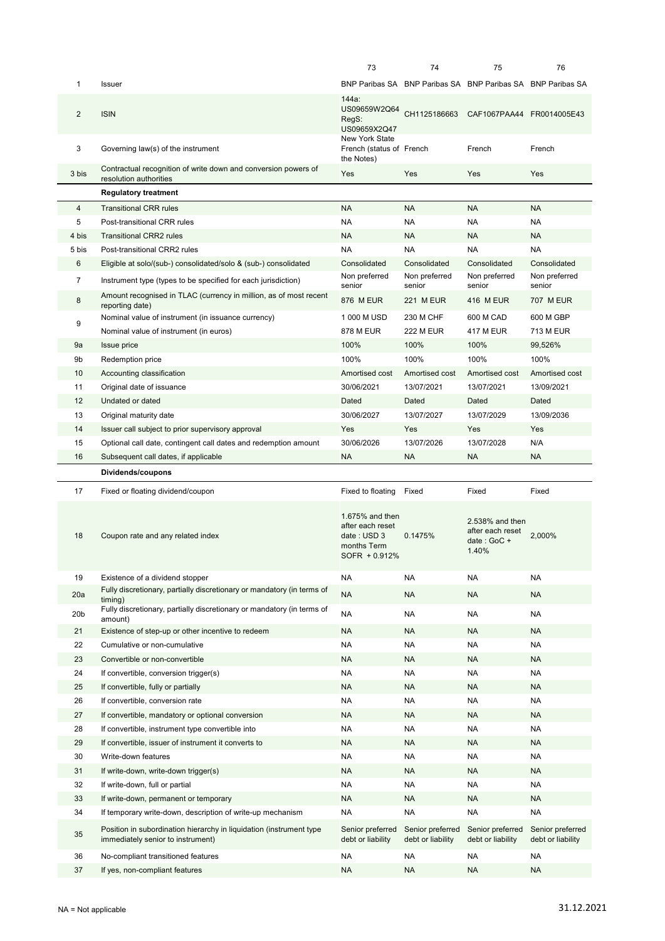|                 |                                                                                                          | 73                                                                                                      | 74                                    | 75                                                          | 76                                    |
|-----------------|----------------------------------------------------------------------------------------------------------|---------------------------------------------------------------------------------------------------------|---------------------------------------|-------------------------------------------------------------|---------------------------------------|
| 1               | <b>Issuer</b>                                                                                            |                                                                                                         |                                       | BNP Paribas SA BNP Paribas SA BNP Paribas SA BNP Paribas SA |                                       |
| $\overline{2}$  | <b>ISIN</b>                                                                                              | 144a:<br>US09659W2Q64<br>RegS:<br>US09659X2Q47                                                          | CH1125186663                          | CAF1067PAA44 FR0014005E43                                   |                                       |
| 3               | Governing law(s) of the instrument                                                                       | New York State<br>French (status of French<br>the Notes)                                                |                                       | French                                                      | French                                |
| 3 bis           | Contractual recognition of write down and conversion powers of<br>resolution authorities                 | Yes                                                                                                     | Yes                                   | Yes                                                         | Yes                                   |
|                 | <b>Regulatory treatment</b>                                                                              |                                                                                                         |                                       |                                                             |                                       |
| $\overline{4}$  | <b>Transitional CRR rules</b>                                                                            | <b>NA</b>                                                                                               | <b>NA</b>                             | <b>NA</b>                                                   | <b>NA</b>                             |
| 5               | Post-transitional CRR rules                                                                              | <b>NA</b>                                                                                               | NA                                    | NA                                                          | <b>NA</b>                             |
| 4 bis           | <b>Transitional CRR2 rules</b>                                                                           | <b>NA</b>                                                                                               | <b>NA</b>                             | <b>NA</b>                                                   | <b>NA</b>                             |
| 5 bis           | Post-transitional CRR2 rules                                                                             | <b>NA</b>                                                                                               | <b>NA</b>                             | <b>NA</b>                                                   | <b>NA</b>                             |
| 6               | Eligible at solo/(sub-) consolidated/solo & (sub-) consolidated                                          | Consolidated                                                                                            | Consolidated                          | Consolidated                                                | Consolidated                          |
| 7               | Instrument type (types to be specified for each jurisdiction)                                            | Non preferred<br>senior                                                                                 | Non preferred<br>senior               | Non preferred<br>senior                                     | Non preferred<br>senior               |
| 8               | Amount recognised in TLAC (currency in million, as of most recent<br>reporting date)                     | 876 M EUR                                                                                               | <b>221 MEUR</b>                       | 416 M EUR                                                   | 707 M EUR                             |
|                 | Nominal value of instrument (in issuance currency)                                                       | 1 000 M USD                                                                                             | 230 M CHF                             | 600 M CAD                                                   | 600 M GBP                             |
| 9               | Nominal value of instrument (in euros)                                                                   | <b>878 M EUR</b>                                                                                        | <b>222 M EUR</b>                      | <b>417 M EUR</b>                                            | 713 M EUR                             |
| 9a              | <b>Issue price</b>                                                                                       | 100%                                                                                                    | 100%                                  | 100%                                                        | 99,526%                               |
| 9b              | Redemption price                                                                                         | 100%                                                                                                    | 100%                                  | 100%                                                        | 100%                                  |
| 10              | Accounting classification                                                                                | Amortised cost                                                                                          | Amortised cost                        | Amortised cost                                              | Amortised cost                        |
| 11              | Original date of issuance                                                                                | 30/06/2021                                                                                              | 13/07/2021                            | 13/07/2021                                                  | 13/09/2021                            |
| 12              | Undated or dated                                                                                         | Dated                                                                                                   | Dated                                 | Dated                                                       | Dated                                 |
| 13              | Original maturity date                                                                                   | 30/06/2027                                                                                              | 13/07/2027                            | 13/07/2029                                                  | 13/09/2036                            |
| 14              | Issuer call subject to prior supervisory approval                                                        | Yes                                                                                                     | Yes                                   | Yes                                                         | Yes                                   |
| 15              | Optional call date, contingent call dates and redemption amount                                          | 30/06/2026                                                                                              | 13/07/2026                            | 13/07/2028                                                  | N/A                                   |
| 16              | Subsequent call dates, if applicable                                                                     | <b>NA</b>                                                                                               | <b>NA</b>                             | NA.                                                         | <b>NA</b>                             |
|                 |                                                                                                          |                                                                                                         |                                       |                                                             |                                       |
|                 | Dividends/coupons                                                                                        |                                                                                                         |                                       |                                                             |                                       |
| 17              |                                                                                                          |                                                                                                         | Fixed                                 | Fixed                                                       | Fixed                                 |
| 18              | Fixed or floating dividend/coupon<br>Coupon rate and any related index                                   | Fixed to floating<br>1.675% and then<br>after each reset<br>date: USD 3<br>months Term<br>SOFR + 0.912% | 0.1475%                               | 2.538% and then<br>after each reset<br>date: GoC +<br>1.40% | 2.000%                                |
| 19              | Existence of a dividend stopper                                                                          | <b>NA</b>                                                                                               | NA                                    | NA                                                          | <b>NA</b>                             |
| 20a             | Fully discretionary, partially discretionary or mandatory (in terms of                                   | <b>NA</b>                                                                                               | <b>NA</b>                             | <b>NA</b>                                                   | <b>NA</b>                             |
|                 | timing)<br>Fully discretionary, partially discretionary or mandatory (in terms of                        |                                                                                                         |                                       |                                                             |                                       |
| 20 <sub>b</sub> | amount)                                                                                                  | <b>NA</b>                                                                                               | NA                                    | <b>NA</b>                                                   | <b>NA</b>                             |
| 21              | Existence of step-up or other incentive to redeem                                                        | <b>NA</b>                                                                                               | <b>NA</b>                             | <b>NA</b>                                                   | <b>NA</b>                             |
| 22              | Cumulative or non-cumulative                                                                             | <b>NA</b>                                                                                               | <b>NA</b>                             | <b>NA</b>                                                   | <b>NA</b>                             |
| 23              | Convertible or non-convertible                                                                           | <b>NA</b>                                                                                               | <b>NA</b>                             | <b>NA</b>                                                   | <b>NA</b>                             |
| 24              | If convertible, conversion trigger(s)                                                                    | <b>NA</b>                                                                                               | NA                                    | NA                                                          | <b>NA</b>                             |
| 25              | If convertible, fully or partially                                                                       | <b>NA</b>                                                                                               | <b>NA</b>                             | <b>NA</b>                                                   | <b>NA</b>                             |
| 26              | If convertible, conversion rate                                                                          | <b>NA</b>                                                                                               | NA                                    | NA                                                          | <b>NA</b>                             |
| 27              | If convertible, mandatory or optional conversion                                                         | <b>NA</b>                                                                                               | <b>NA</b>                             | <b>NA</b>                                                   | <b>NA</b>                             |
| 28              | If convertible, instrument type convertible into                                                         | <b>NA</b>                                                                                               | NA                                    | NA                                                          | <b>NA</b>                             |
| 29              | If convertible, issuer of instrument it converts to                                                      | <b>NA</b>                                                                                               | <b>NA</b>                             | <b>NA</b>                                                   | <b>NA</b>                             |
| 30              | Write-down features                                                                                      | <b>NA</b>                                                                                               | NA                                    | NA                                                          | <b>NA</b>                             |
| 31              | If write-down, write-down trigger(s)                                                                     | <b>NA</b>                                                                                               | <b>NA</b>                             | <b>NA</b>                                                   | <b>NA</b>                             |
| 32              | If write-down, full or partial                                                                           | <b>NA</b>                                                                                               | NA                                    | NA                                                          | <b>NA</b>                             |
| 33              | If write-down, permanent or temporary                                                                    | <b>NA</b>                                                                                               | <b>NA</b>                             | <b>NA</b>                                                   | <b>NA</b>                             |
| 34              | If temporary write-down, description of write-up mechanism                                               | <b>NA</b>                                                                                               | <b>NA</b>                             | <b>NA</b>                                                   | <b>NA</b>                             |
| 35              | Position in subordination hierarchy in liquidation (instrument type<br>immediately senior to instrument) | Senior preferred<br>debt or liability                                                                   | Senior preferred<br>debt or liability | Senior preferred<br>debt or liability                       | Senior preferred<br>debt or liability |
| 36              | No-compliant transitioned features                                                                       | <b>NA</b>                                                                                               | NA                                    | NA                                                          | <b>NA</b>                             |